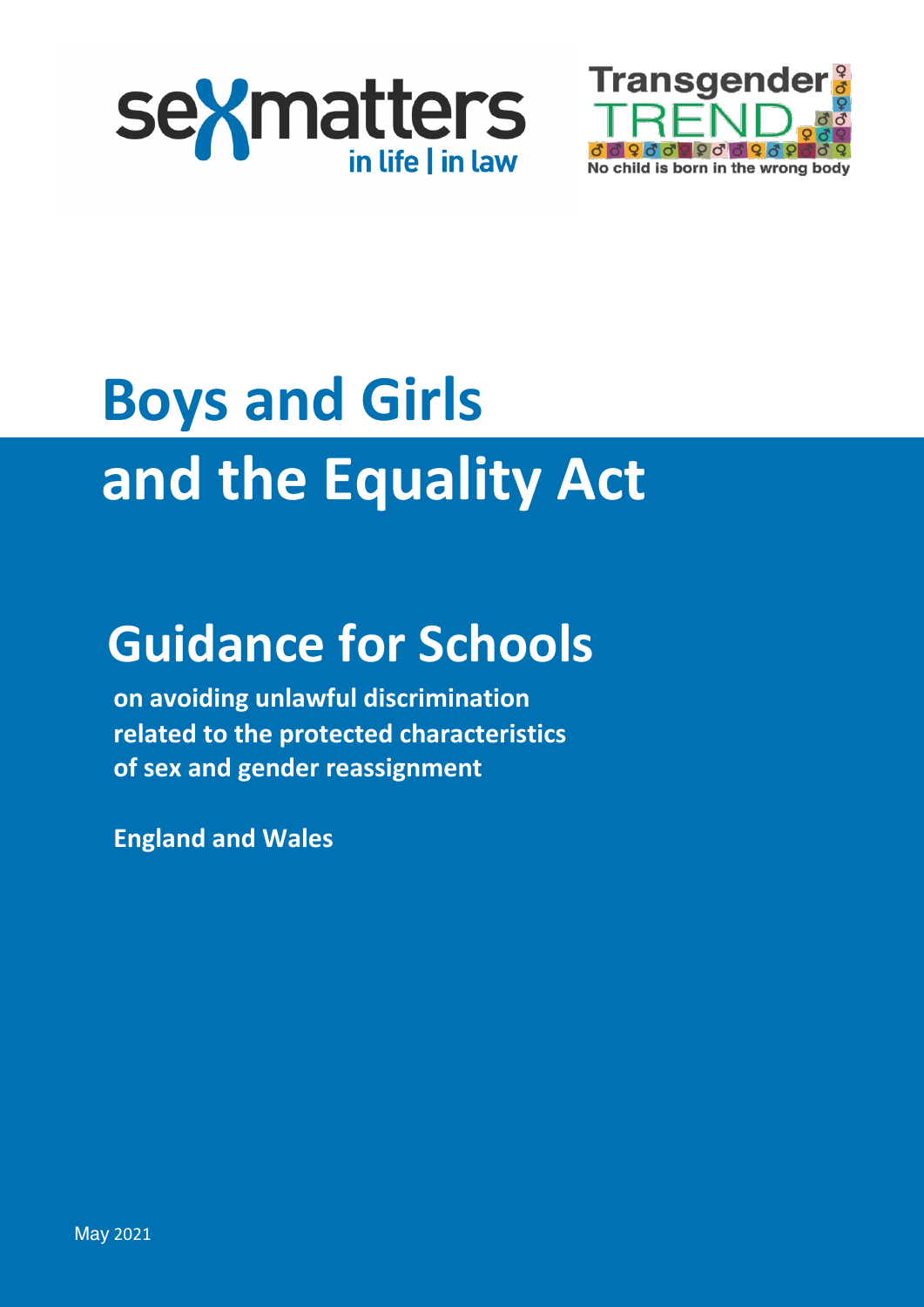



# **Boys and Girls and the Equality Act**

# **Guidance for Schools**

**on avoiding unlawful discrimination related to the protected characteristics of sex and gender reassignment**

**England and Wales**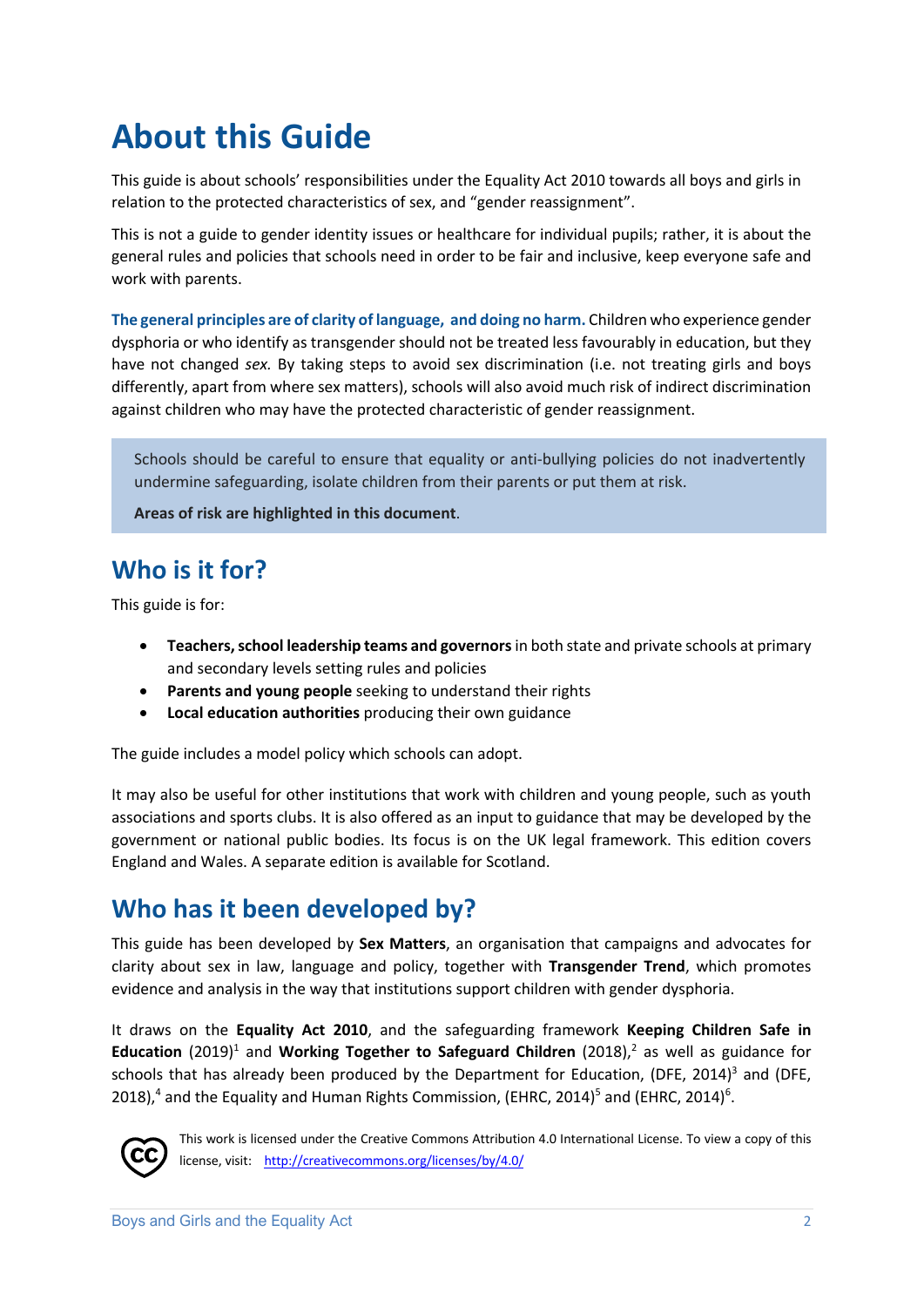# **About this Guide**

This guide is about schools' responsibilities under the Equality Act 2010 towards all boys and girls in relation to the protected characteristics of sex, and "gender reassignment".

This is not a guide to gender identity issues or healthcare for individual pupils; rather, it is about the general rules and policies that schools need in order to be fair and inclusive, keep everyone safe and work with parents.

**The general principles are of clarity of language, and doing no harm.** Children who experience gender dysphoria or who identify as transgender should not be treated less favourably in education, but they have not changed *sex.* By taking steps to avoid sex discrimination (i.e. not treating girls and boys differently, apart from where sex matters), schools will also avoid much risk of indirect discrimination against children who may have the protected characteristic of gender reassignment.

Schools should be careful to ensure that equality or anti-bullying policies do not inadvertently undermine safeguarding, isolate children from their parents or put them at risk.

**Areas of risk are highlighted in this document**.

# **Who is it for?**

This guide is for:

- **Teachers, school leadership teams and governors**in both state and private schools at primary and secondary levels setting rules and policies
- **Parents and young people** seeking to understand their rights
- **Local education authorities** producing their own guidance

The guide includes a model policy which schools can adopt.

It may also be useful for other institutions that work with children and young people, such as youth associations and sports clubs. It is also offered as an input to guidance that may be developed by the government or national public bodies. Its focus is on the UK legal framework. This edition covers England and Wales. A separate edition is available for Scotland.

### **Who has it been developed by?**

This guide has been developed by **Sex Matters**, an organisation that campaigns and advocates for clarity about sex in law, language and policy, together with **Transgender Trend**, which promotes evidence and analysis in the way that institutions support children with gender dysphoria.

It draws on the **Equality Act 2010**, and the safeguarding framework **Keeping Children Safe in Education** (2019)<sup>1</sup> and **Working Together to Safeguard Children** (2018),<sup>2</sup> as well as guidance for schools that has already been produced by the Department for Education, (DFE, 2014)<sup>3</sup> and (DFE, 2018),<sup>4</sup> and the Equality and Human Rights Commission, (EHRC, 2014)<sup>5</sup> and (EHRC, 2014)<sup>6</sup>.



This work is licensed under the Creative Commons Attribution 4.0 International License. To view a copy of this license, visit: http://creativecommons.org/licenses/by/4.0/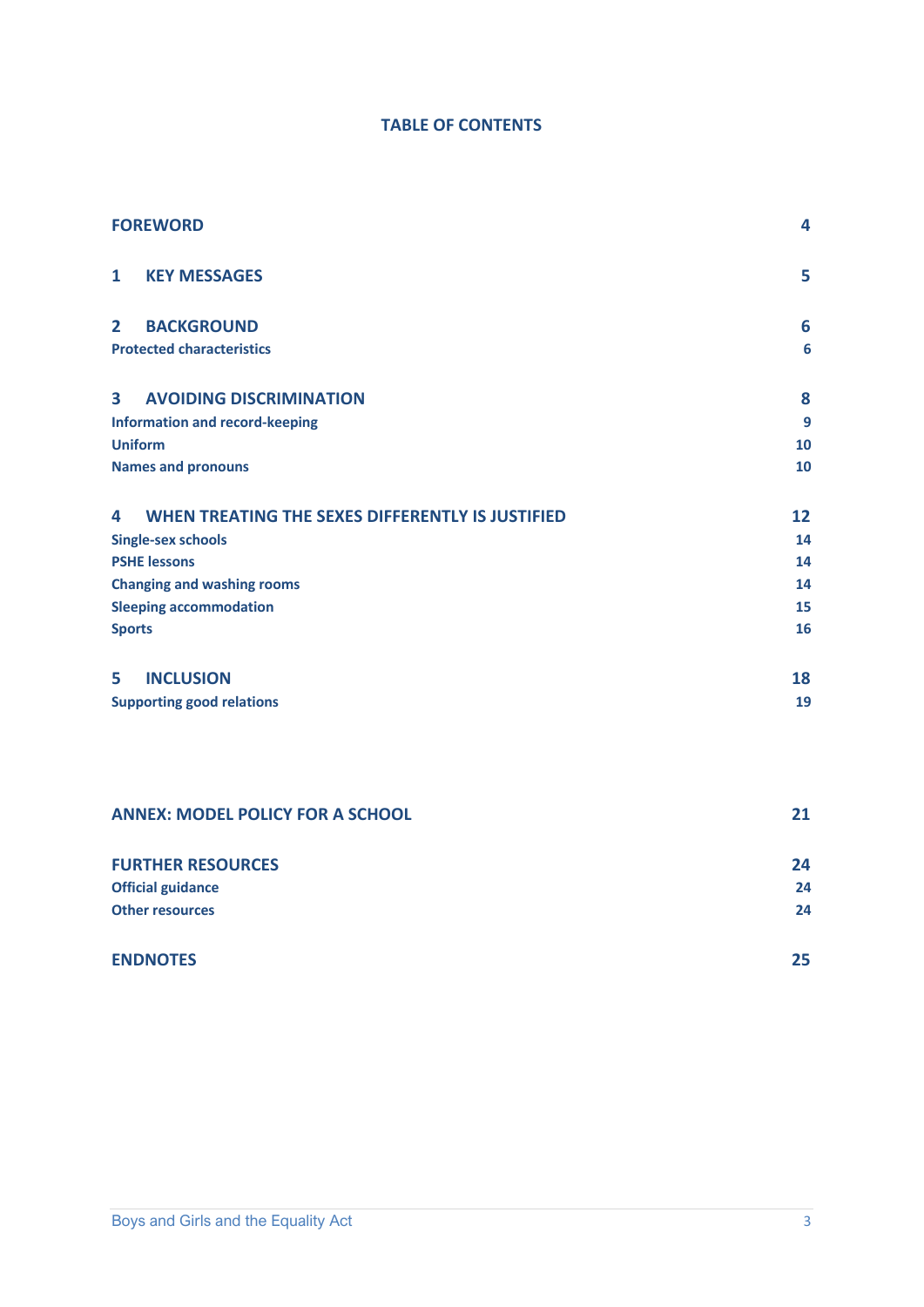#### **TABLE OF CONTENTS**

| <b>FOREWORD</b>                                           | 4               |
|-----------------------------------------------------------|-----------------|
| <b>KEY MESSAGES</b><br>$\mathbf{1}$                       | 5               |
| <b>BACKGROUND</b><br>$\overline{2}$                       | 6               |
| <b>Protected characteristics</b>                          | $6\phantom{1}6$ |
| $\overline{\mathbf{3}}$<br><b>AVOIDING DISCRIMINATION</b> | 8               |
| <b>Information and record-keeping</b>                     | 9               |
| <b>Uniform</b>                                            | 10              |
| <b>Names and pronouns</b>                                 | 10              |
| WHEN TREATING THE SEXES DIFFERENTLY IS JUSTIFIED<br>4     | 12              |
| <b>Single-sex schools</b>                                 | 14              |
| <b>PSHE lessons</b>                                       | 14              |
| <b>Changing and washing rooms</b>                         | 14              |
| <b>Sleeping accommodation</b>                             | 15              |
| <b>Sports</b>                                             | 16              |
| <b>INCLUSION</b><br>5                                     | 18              |
| <b>Supporting good relations</b>                          | 19              |
|                                                           |                 |
| <b>ANNEX: MODEL POLICY FOR A SCHOOL</b>                   | 21              |
| <b>FURTHER RESOURCES</b>                                  | 24              |

| ________________________ | .  |
|--------------------------|----|
| <b>Official guidance</b> | 24 |
| <b>Other resources</b>   | 24 |
|                          |    |

| <b>ENDNOTES</b> | 25 |
|-----------------|----|
|                 |    |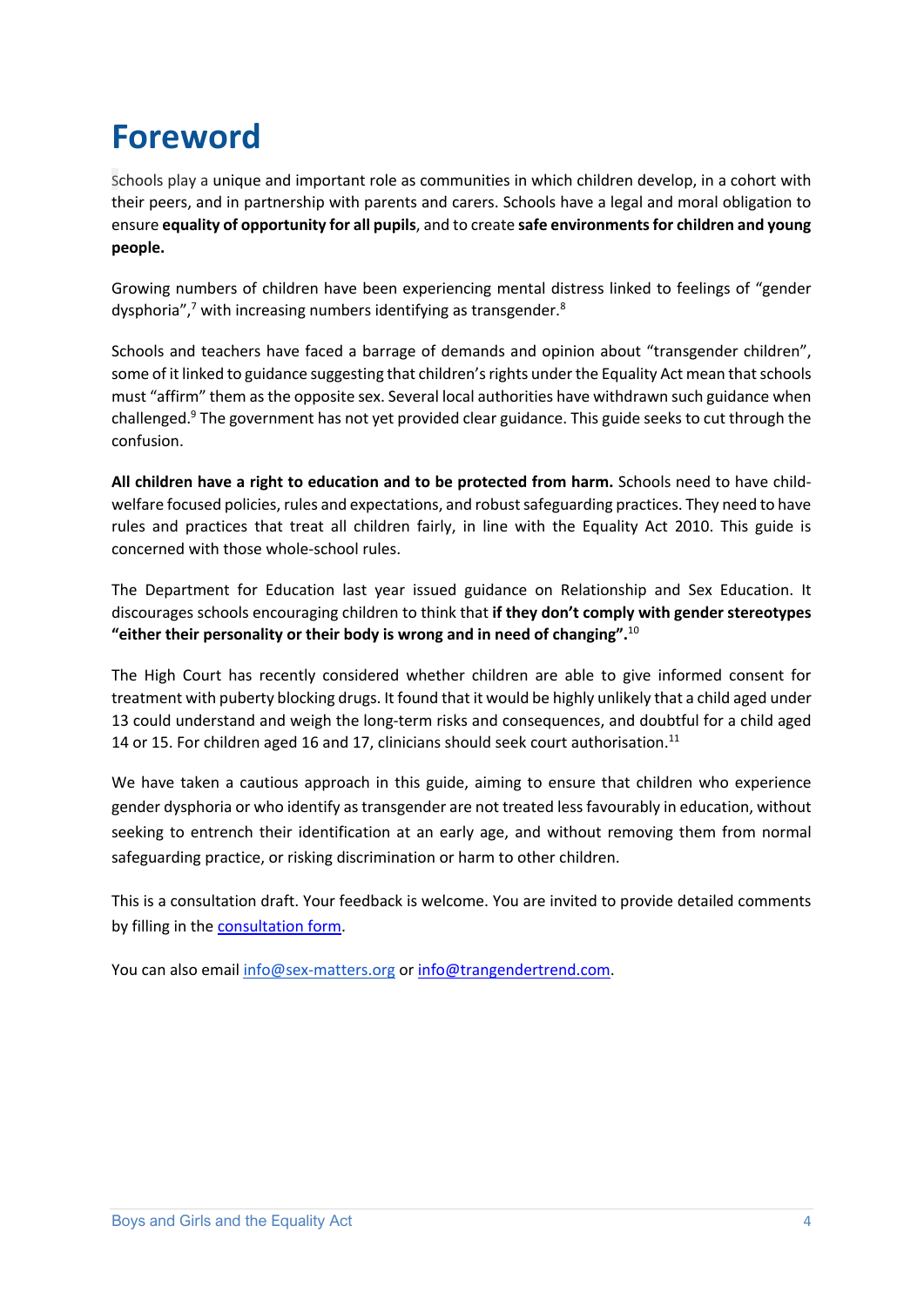# **Foreword**

Schools play a unique and important role as communities in which children develop, in a cohort with their peers, and in partnership with parents and carers. Schools have a legal and moral obligation to ensure **equality of opportunity for all pupils**, and to create **safe environments for children and young people.**

Growing numbers of children have been experiencing mental distress linked to feelings of "gender dysphoria", $7$  with increasing numbers identifying as transgender. $8$ 

Schools and teachers have faced a barrage of demands and opinion about "transgender children", some of it linked to guidance suggesting that children's rights under the Equality Act mean that schools must "affirm" them as the opposite sex. Several local authorities have withdrawn such guidance when challenged.<sup>9</sup> The government has not yet provided clear guidance. This guide seeks to cut through the confusion.

**All children have a right to education and to be protected from harm.** Schools need to have childwelfare focused policies, rules and expectations, and robust safeguarding practices. They need to have rules and practices that treat all children fairly, in line with the Equality Act 2010. This guide is concerned with those whole-school rules.

The Department for Education last year issued guidance on Relationship and Sex Education. It discourages schools encouraging children to think that **if they don't comply with gender stereotypes "either their personality or their body is wrong and in need of changing".**<sup>10</sup>

The High Court has recently considered whether children are able to give informed consent for treatment with puberty blocking drugs. It found that it would be highly unlikely that a child aged under 13 could understand and weigh the long-term risks and consequences, and doubtful for a child aged 14 or 15. For children aged 16 and 17, clinicians should seek court authorisation.<sup>11</sup>

We have taken a cautious approach in this guide, aiming to ensure that children who experience gender dysphoria or who identify as transgender are not treated less favourably in education, without seeking to entrench their identification at an early age, and without removing them from normal safeguarding practice, or risking discrimination or harm to other children.

This is a consultation draft. Your feedback is welcome. You are invited to provide detailed comments by filling in the [consultation form.](https://forms.gle/NwFZhaFFQZMDxNcGA) 

You can also email info@sex-matters.org or info@trangendertrend.com.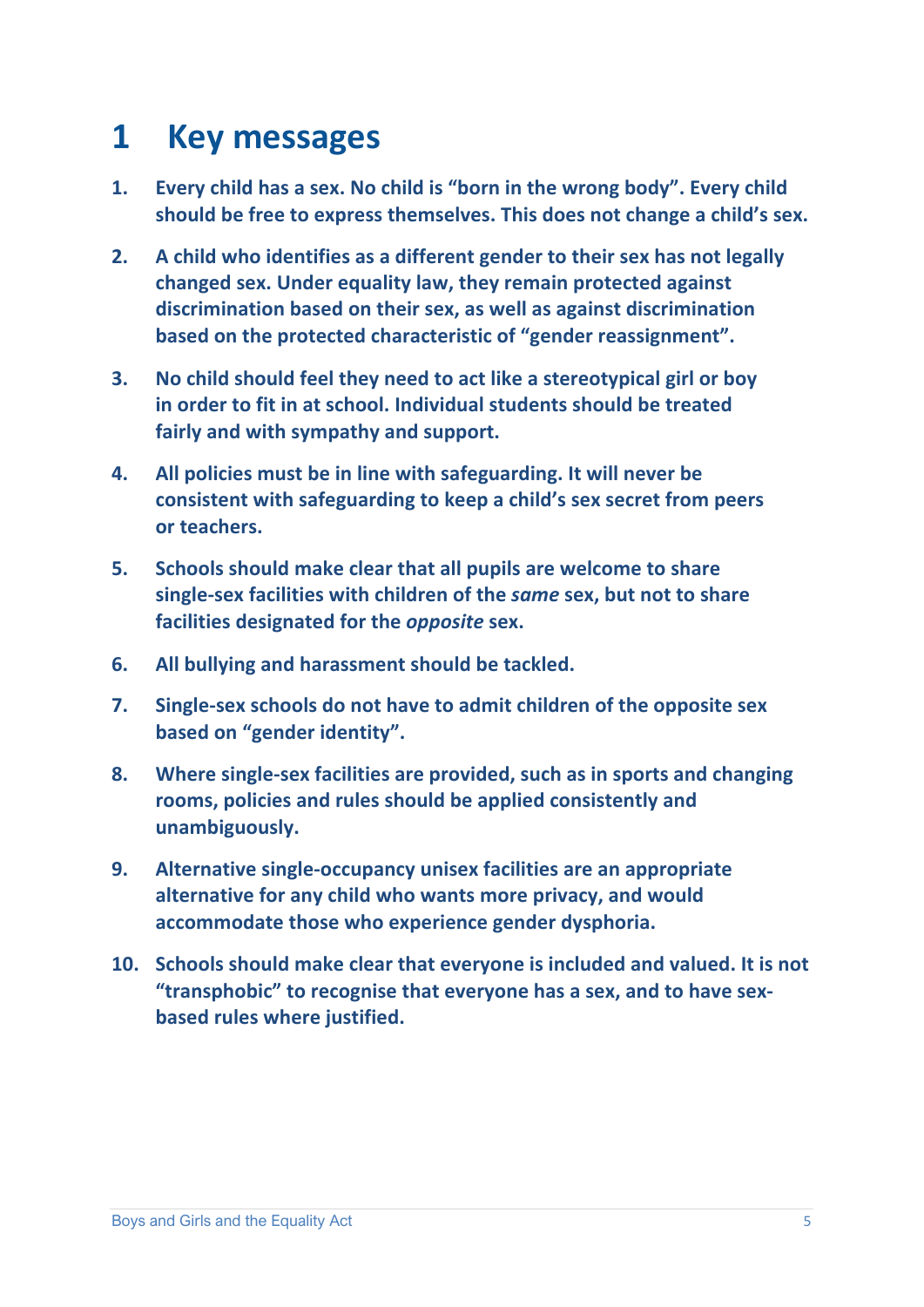# **1 Key messages**

- **1. Every child has a sex. No child is "born in the wrong body". Every child should be free to express themselves. This does not change a child's sex.**
- **2. A child who identifies as a different gender to their sex has not legally changed sex. Under equality law, they remain protected against discrimination based on their sex, as well as against discrimination based on the protected characteristic of "gender reassignment".**
- **3. No child should feel they need to act like a stereotypical girl or boy in order to fit in at school. Individual students should be treated fairly and with sympathy and support.**
- **4. All policies must be in line with safeguarding. It will never be consistent with safeguarding to keep a child's sex secret from peers or teachers.**
- **5. Schools should make clear that all pupils are welcome to share single-sex facilities with children of the** *same* **sex, but not to share facilities designated for the** *opposite* **sex.**
- **6. All bullying and harassment should be tackled.**
- **7. Single-sex schools do not have to admit children of the opposite sex based on "gender identity".**
- **8. Where single-sex facilities are provided, such as in sports and changing rooms, policies and rules should be applied consistently and unambiguously.**
- **9. Alternative single-occupancy unisex facilities are an appropriate alternative for any child who wants more privacy, and would accommodate those who experience gender dysphoria.**
- **10. Schools should make clear that everyone is included and valued. It is not "transphobic" to recognise that everyone has a sex, and to have sexbased rules where justified.**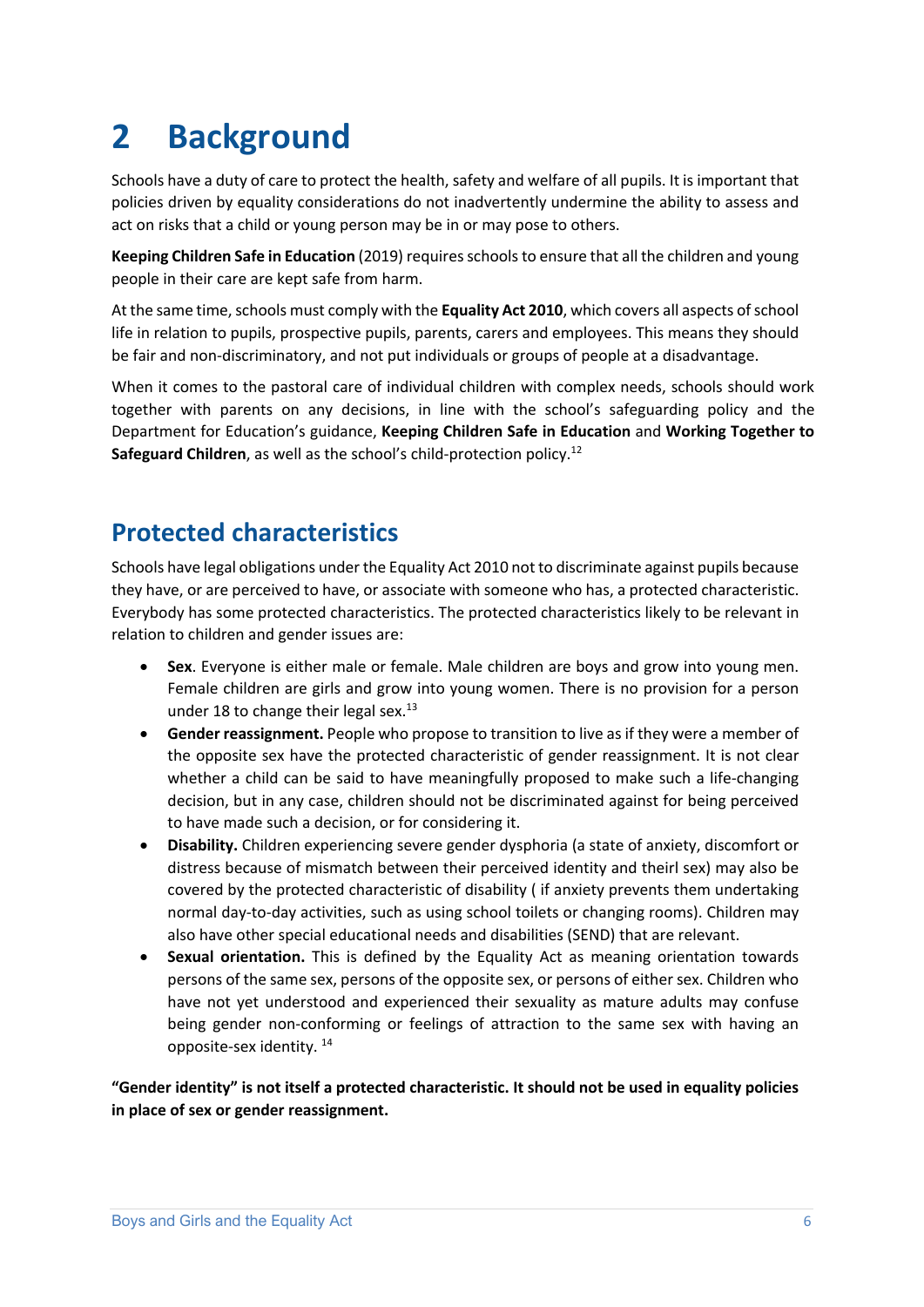# **2 Background**

Schools have a duty of care to protect the health, safety and welfare of all pupils. It is important that policies driven by equality considerations do not inadvertently undermine the ability to assess and act on risks that a child or young person may be in or may pose to others.

**Keeping Children Safe in Education** (2019) requires schools to ensure that all the children and young people in their care are kept safe from harm.

At the same time, schools must comply with the **Equality Act 2010**, which covers all aspects of school life in relation to pupils, prospective pupils, parents, carers and employees. This means they should be fair and non-discriminatory, and not put individuals or groups of people at a disadvantage.

When it comes to the pastoral care of individual children with complex needs, schools should work together with parents on any decisions, in line with the school's safeguarding policy and the Department for Education's guidance, **Keeping Children Safe in Education** and **Working Together to Safeguard Children**, as well as the school's child-protection policy.<sup>12</sup>

## **Protected characteristics**

Schools have legal obligations under the Equality Act 2010 not to discriminate against pupils because they have, or are perceived to have, or associate with someone who has, a protected characteristic. Everybody has some protected characteristics. The protected characteristics likely to be relevant in relation to children and gender issues are:

- **Sex**. Everyone is either male or female. Male children are boys and grow into young men. Female children are girls and grow into young women. There is no provision for a person under 18 to change their legal sex. $^{13}$
- **Gender reassignment.** People who propose to transition to live as if they were a member of the opposite sex have the protected characteristic of gender reassignment. It is not clear whether a child can be said to have meaningfully proposed to make such a life-changing decision, but in any case, children should not be discriminated against for being perceived to have made such a decision, or for considering it.
- **Disability.** Children experiencing severe gender dysphoria (a state of anxiety, discomfort or distress because of mismatch between their perceived identity and theirl sex) may also be covered by the protected characteristic of disability ( if anxiety prevents them undertaking normal day-to-day activities, such as using school toilets or changing rooms). Children may also have other special educational needs and disabilities (SEND) that are relevant.
- **Sexual orientation.** This is defined by the Equality Act as meaning orientation towards persons of the same sex, persons of the opposite sex, or persons of either sex. Children who have not yet understood and experienced their sexuality as mature adults may confuse being gender non-conforming or feelings of attraction to the same sex with having an opposite-sex identity. 14

**"Gender identity" is not itself a protected characteristic. It should not be used in equality policies in place of sex or gender reassignment.**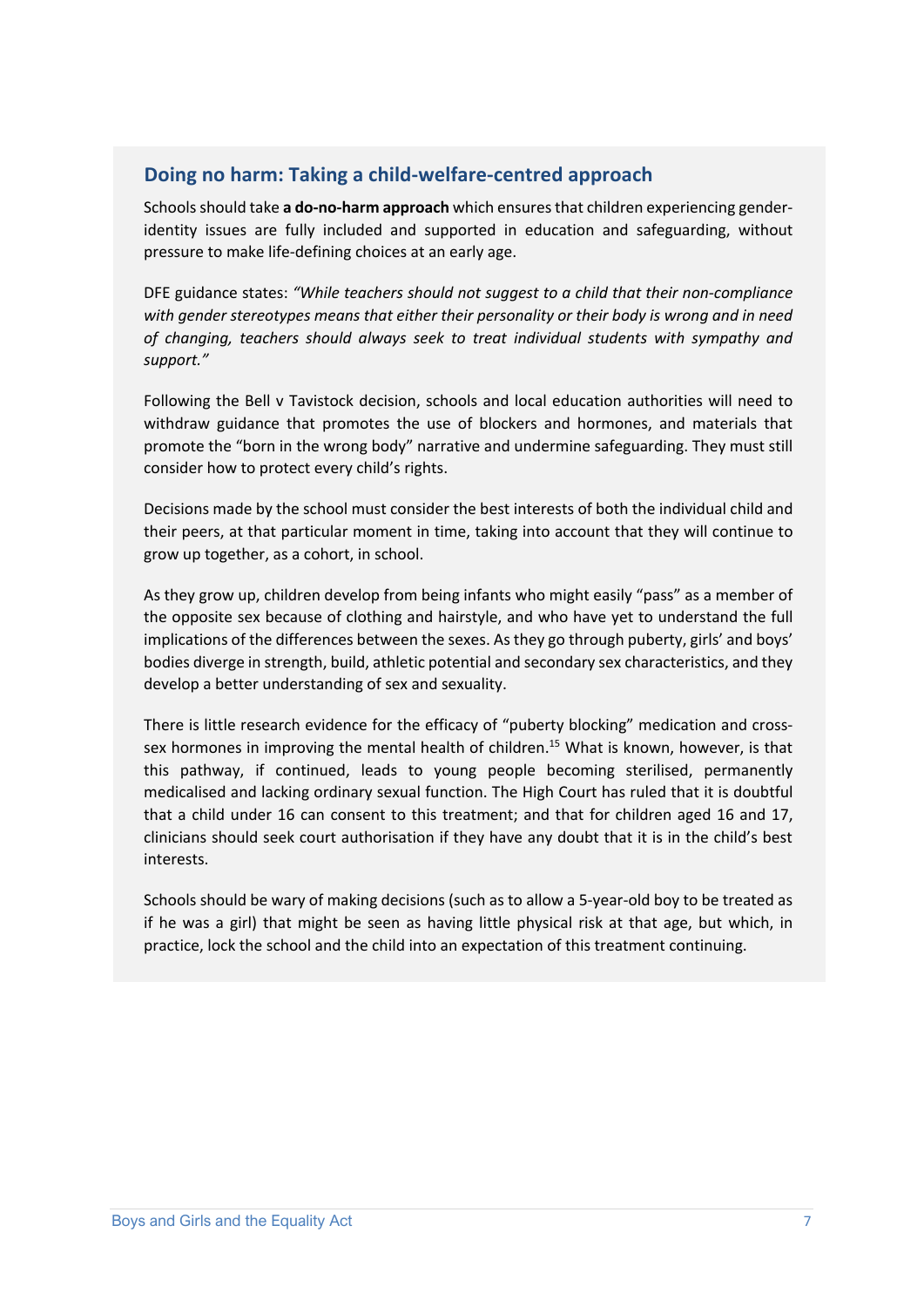#### **Doing no harm: Taking a child-welfare-centred approach**

Schools should take **a do-no-harm approach** which ensures that children experiencing genderidentity issues are fully included and supported in education and safeguarding, without pressure to make life-defining choices at an early age.

DFE guidance states: *"While teachers should not suggest to a child that their non-compliance with gender stereotypes means that either their personality or their body is wrong and in need of changing, teachers should always seek to treat individual students with sympathy and support."*

Following the Bell v Tavistock decision, schools and local education authorities will need to withdraw guidance that promotes the use of blockers and hormones, and materials that promote the "born in the wrong body" narrative and undermine safeguarding. They must still consider how to protect every child's rights.

Decisions made by the school must consider the best interests of both the individual child and their peers, at that particular moment in time, taking into account that they will continue to grow up together, as a cohort, in school.

As they grow up, children develop from being infants who might easily "pass" as a member of the opposite sex because of clothing and hairstyle, and who have yet to understand the full implications of the differences between the sexes. As they go through puberty, girls' and boys' bodies diverge in strength, build, athletic potential and secondary sex characteristics, and they develop a better understanding of sex and sexuality.

There is little research evidence for the efficacy of "puberty blocking" medication and crosssex hormones in improving the mental health of children.<sup>15</sup> What is known, however, is that this pathway, if continued, leads to young people becoming sterilised, permanently medicalised and lacking ordinary sexual function. The High Court has ruled that it is doubtful that a child under 16 can consent to this treatment; and that for children aged 16 and 17, clinicians should seek court authorisation if they have any doubt that it is in the child's best interests.

Schools should be wary of making decisions (such as to allow a 5-year-old boy to be treated as if he was a girl) that might be seen as having little physical risk at that age, but which, in practice, lock the school and the child into an expectation of this treatment continuing.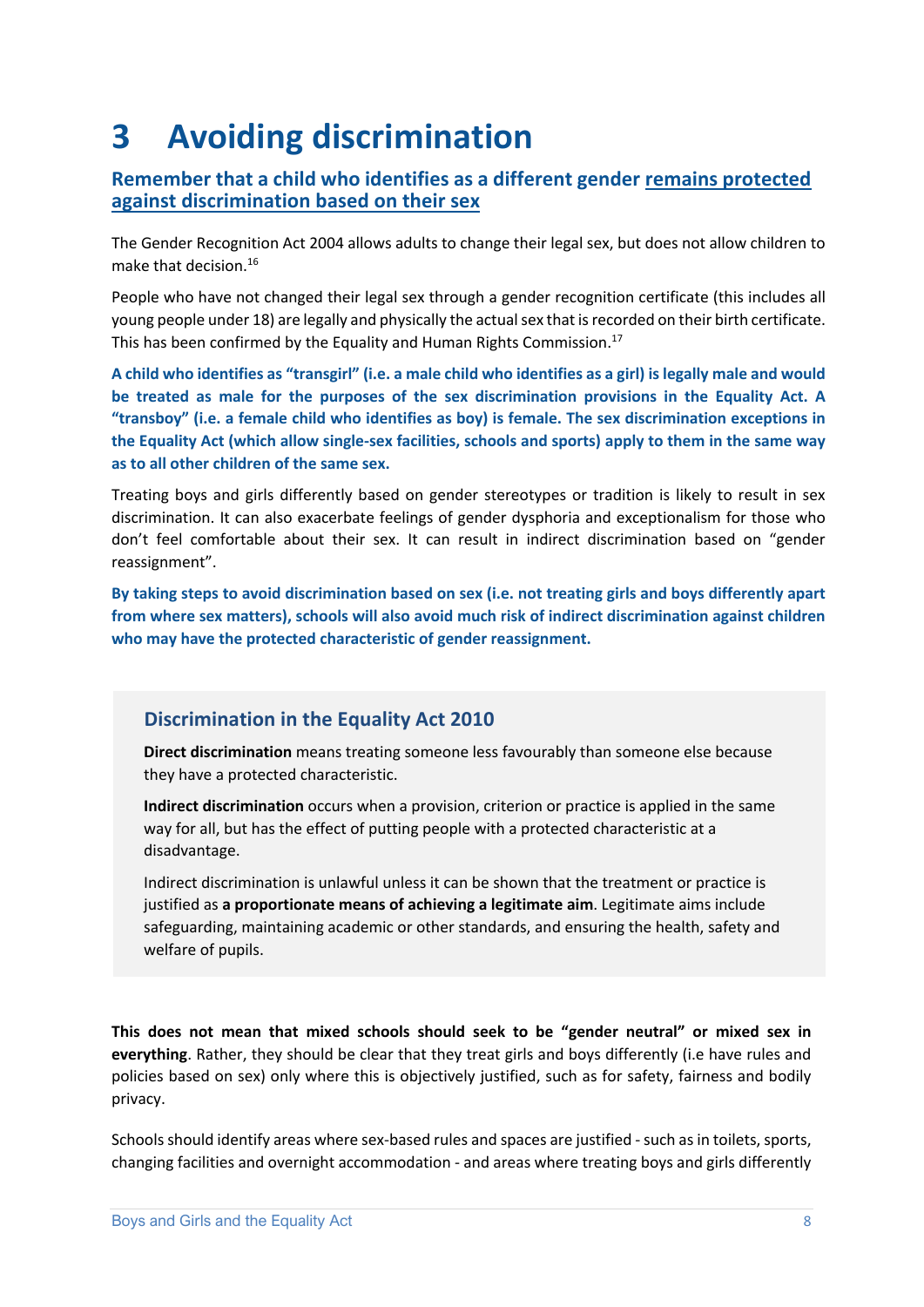# **3 Avoiding discrimination**

#### **Remember that a child who identifies as a different gender remains protected against discrimination based on their sex**

The Gender Recognition Act 2004 allows adults to change their legal sex, but does not allow children to make that decision.<sup>16</sup>

People who have not changed their legal sex through a gender recognition certificate (this includes all young people under 18) are legally and physically the actual sex that is recorded on their birth certificate. This has been confirmed by the Equality and Human Rights Commission.<sup>17</sup>

**A child who identifies as "transgirl" (i.e. a male child who identifies as a girl) is legally male and would be treated as male for the purposes of the sex discrimination provisions in the Equality Act. A "transboy" (i.e. a female child who identifies as boy) is female. The sex discrimination exceptions in the Equality Act (which allow single-sex facilities, schools and sports) apply to them in the same way as to all other children of the same sex.**

Treating boys and girls differently based on gender stereotypes or tradition is likely to result in sex discrimination. It can also exacerbate feelings of gender dysphoria and exceptionalism for those who don't feel comfortable about their sex. It can result in indirect discrimination based on "gender reassignment".

**By taking steps to avoid discrimination based on sex (i.e. not treating girls and boys differently apart from where sex matters), schools will also avoid much risk of indirect discrimination against children who may have the protected characteristic of gender reassignment.**

#### **Discrimination in the Equality Act 2010**

**Direct discrimination** means treating someone less favourably than someone else because they have a protected characteristic.

**Indirect discrimination** occurs when a provision, criterion or practice is applied in the same way for all, but has the effect of putting people with a protected characteristic at a disadvantage.

Indirect discrimination is unlawful unless it can be shown that the treatment or practice is justified as **a proportionate means of achieving a legitimate aim**. Legitimate aims include safeguarding, maintaining academic or other standards, and ensuring the health, safety and welfare of pupils.

**This does not mean that mixed schools should seek to be "gender neutral" or mixed sex in everything**. Rather, they should be clear that they treat girls and boys differently (i.e have rules and policies based on sex) only where this is objectively justified, such as for safety, fairness and bodily privacy.

Schools should identify areas where sex-based rules and spaces are justified - such as in toilets, sports, changing facilities and overnight accommodation - and areas where treating boys and girls differently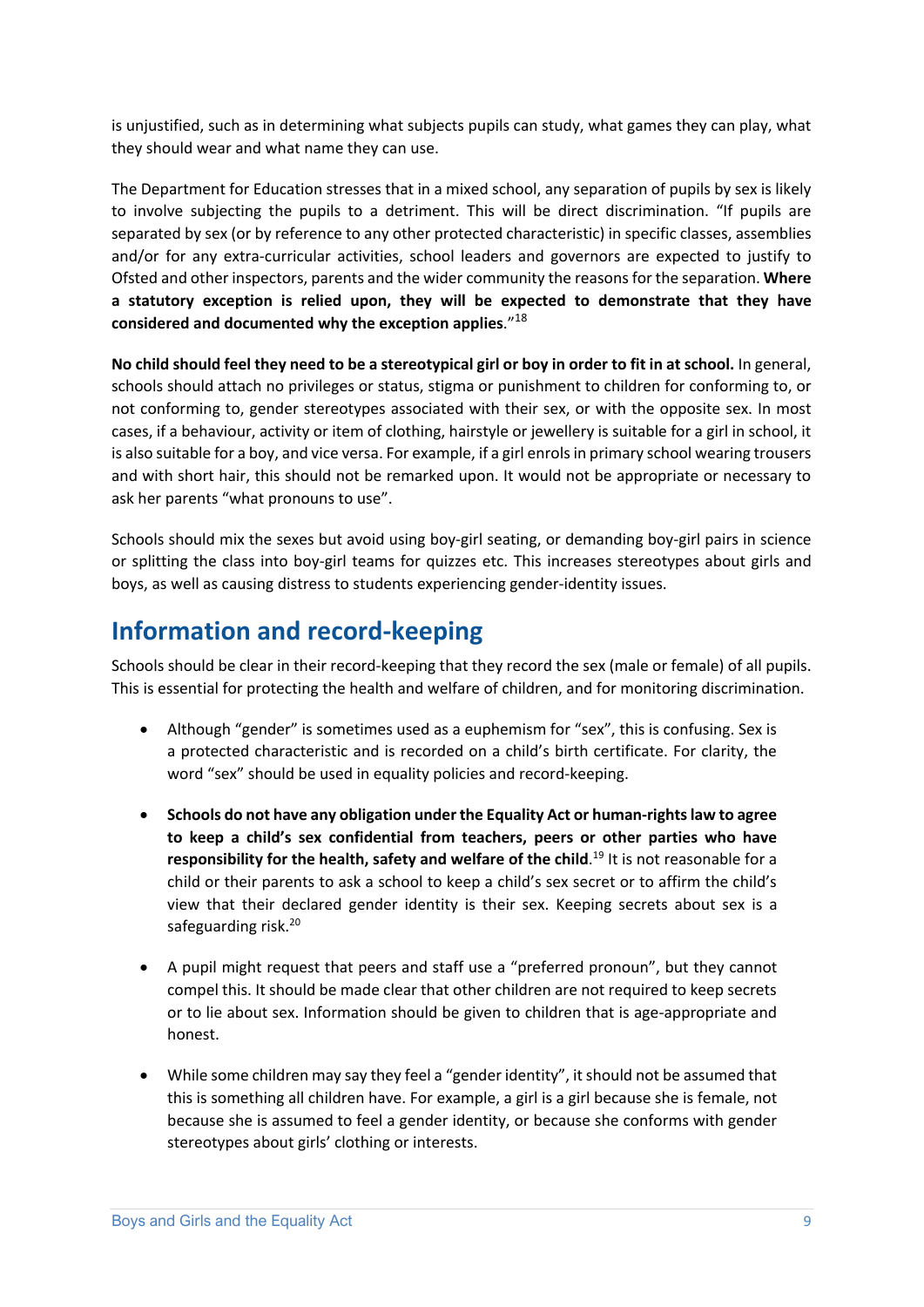is unjustified, such as in determining what subjects pupils can study, what games they can play, what they should wear and what name they can use.

The Department for Education stresses that in a mixed school, any separation of pupils by sex is likely to involve subjecting the pupils to a detriment. This will be direct discrimination. "If pupils are separated by sex (or by reference to any other protected characteristic) in specific classes, assemblies and/or for any extra-curricular activities, school leaders and governors are expected to justify to Ofsted and other inspectors, parents and the wider community the reasons for the separation. **Where a statutory exception is relied upon, they will be expected to demonstrate that they have considered and documented why the exception applies**."<sup>18</sup>

**No child should feel they need to be a stereotypical girl or boy in order to fit in at school.** In general, schools should attach no privileges or status, stigma or punishment to children for conforming to, or not conforming to, gender stereotypes associated with their sex, or with the opposite sex. In most cases, if a behaviour, activity or item of clothing, hairstyle or jewellery is suitable for a girl in school, it is also suitable for a boy, and vice versa. For example, if a girl enrolsin primary school wearing trousers and with short hair, this should not be remarked upon. It would not be appropriate or necessary to ask her parents "what pronouns to use".

Schools should mix the sexes but avoid using boy-girl seating, or demanding boy-girl pairs in science or splitting the class into boy-girl teams for quizzes etc. This increases stereotypes about girls and boys, as well as causing distress to students experiencing gender-identity issues.

### **Information and record-keeping**

Schools should be clear in their record-keeping that they record the sex (male or female) of all pupils. This is essential for protecting the health and welfare of children, and for monitoring discrimination.

- Although "gender" is sometimes used as a euphemism for "sex", this is confusing. Sex is a protected characteristic and is recorded on a child's birth certificate. For clarity, the word "sex" should be used in equality policies and record-keeping.
- **Schools do not have any obligation under the Equality Act or human-rights law to agree to keep a child's sex confidential from teachers, peers or other parties who have**  responsibility for the health, safety and welfare of the child.<sup>19</sup> It is not reasonable for a child or their parents to ask a school to keep a child's sex secret or to affirm the child's view that their declared gender identity is their sex. Keeping secrets about sex is a safeguarding risk.<sup>20</sup>
- A pupil might request that peers and staff use a "preferred pronoun", but they cannot compel this. It should be made clear that other children are not required to keep secrets or to lie about sex. Information should be given to children that is age-appropriate and honest.
- While some children may say they feel a "gender identity", it should not be assumed that this is something all children have. For example, a girl is a girl because she is female, not because she is assumed to feel a gender identity, or because she conforms with gender stereotypes about girls' clothing or interests.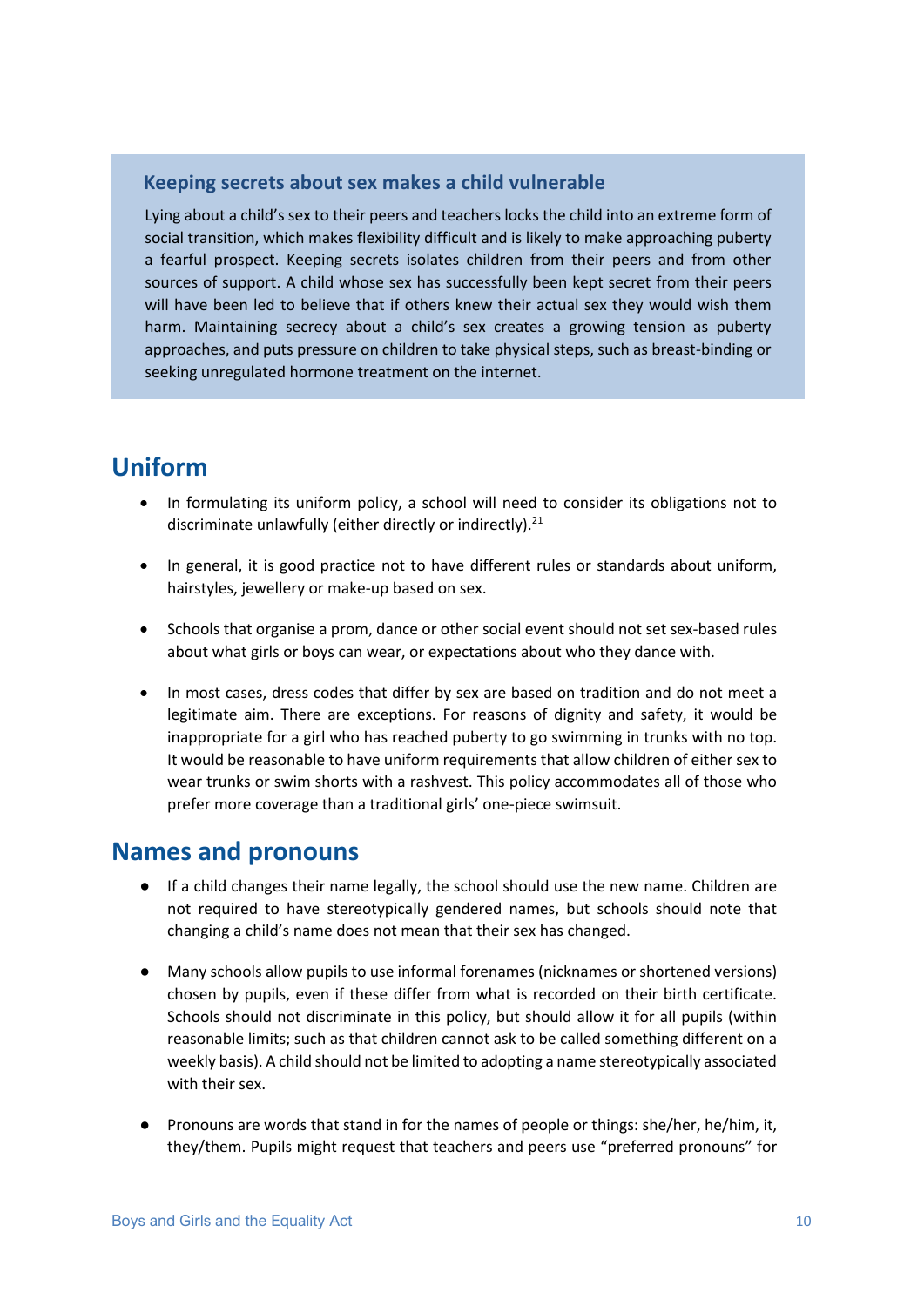#### **Keeping secrets about sex makes a child vulnerable**

Lying about a child's sex to their peers and teachers locks the child into an extreme form of social transition, which makes flexibility difficult and is likely to make approaching puberty a fearful prospect. Keeping secrets isolates children from their peers and from other sources of support. A child whose sex has successfully been kept secret from their peers will have been led to believe that if others knew their actual sex they would wish them harm. Maintaining secrecy about a child's sex creates a growing tension as puberty approaches, and puts pressure on children to take physical steps, such as breast-binding or seeking unregulated hormone treatment on the internet.

# **Uniform**

- In formulating its uniform policy, a school will need to consider its obligations not to discriminate unlawfully (either directly or indirectly).<sup>21</sup>
- In general, it is good practice not to have different rules or standards about uniform, hairstyles, jewellery or make-up based on sex.
- Schools that organise a prom, dance or other social event should not set sex-based rules about what girls or boys can wear, or expectations about who they dance with.
- In most cases, dress codes that differ by sex are based on tradition and do not meet a legitimate aim. There are exceptions. For reasons of dignity and safety, it would be inappropriate for a girl who has reached puberty to go swimming in trunks with no top. It would be reasonable to have uniform requirements that allow children of either sex to wear trunks or swim shorts with a rashvest. This policy accommodates all of those who prefer more coverage than a traditional girls' one-piece swimsuit.

### **Names and pronouns**

- If a child changes their name legally, the school should use the new name. Children are not required to have stereotypically gendered names, but schools should note that changing a child's name does not mean that their sex has changed.
- Many schools allow pupils to use informal forenames (nicknames or shortened versions) chosen by pupils, even if these differ from what is recorded on their birth certificate. Schools should not discriminate in this policy, but should allow it for all pupils (within reasonable limits; such as that children cannot ask to be called something different on a weekly basis). A child should not be limited to adopting a name stereotypically associated with their sex.
- Pronouns are words that stand in for the names of people or things: she/her, he/him, it, they/them. Pupils might request that teachers and peers use "preferred pronouns" for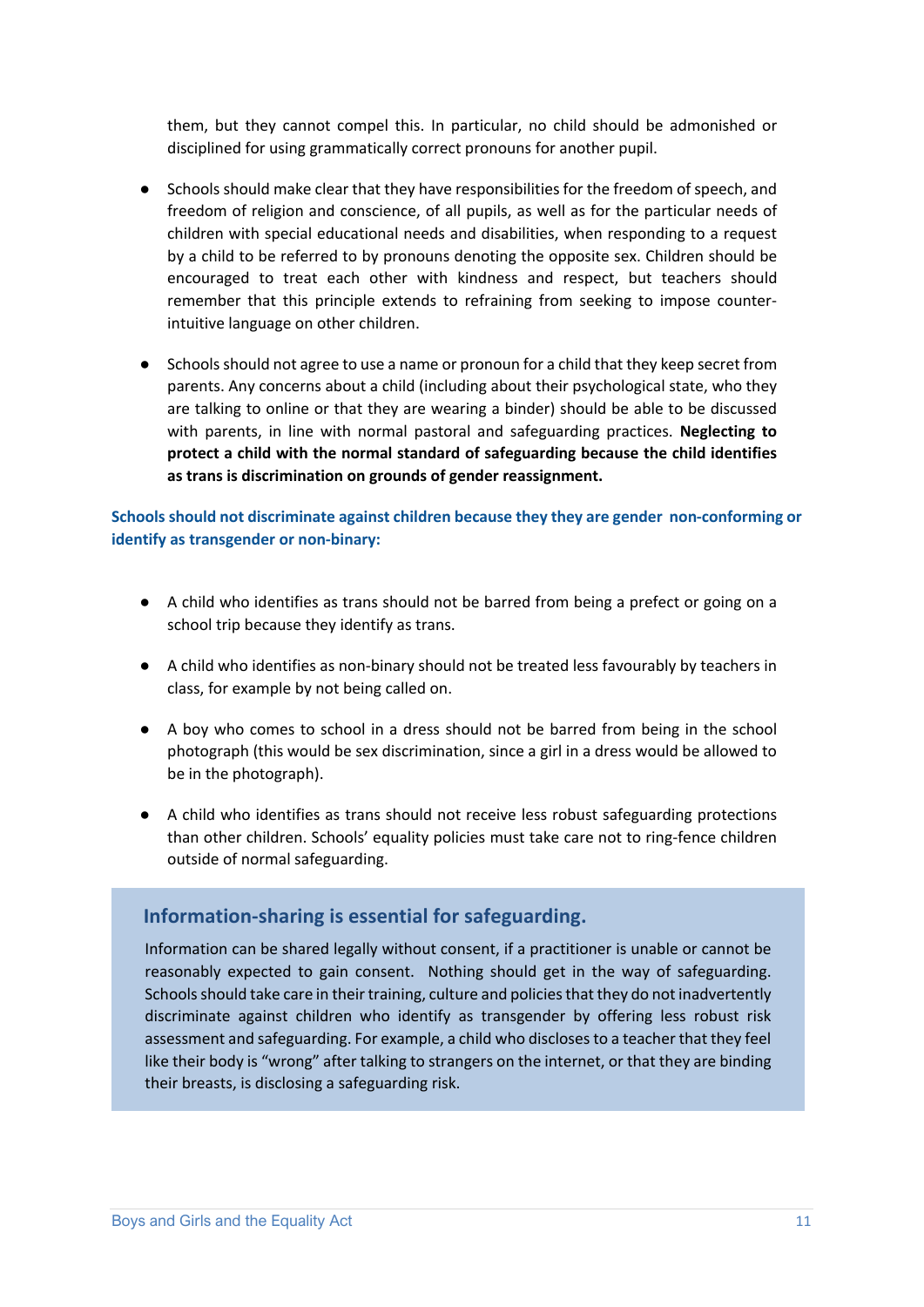them, but they cannot compel this. In particular, no child should be admonished or disciplined for using grammatically correct pronouns for another pupil.

- Schools should make clear that they have responsibilities for the freedom of speech, and freedom of religion and conscience, of all pupils, as well as for the particular needs of children with special educational needs and disabilities, when responding to a request by a child to be referred to by pronouns denoting the opposite sex. Children should be encouraged to treat each other with kindness and respect, but teachers should remember that this principle extends to refraining from seeking to impose counterintuitive language on other children.
- Schools should not agree to use a name or pronoun for a child that they keep secret from parents. Any concerns about a child (including about their psychological state, who they are talking to online or that they are wearing a binder) should be able to be discussed with parents, in line with normal pastoral and safeguarding practices. **Neglecting to protect a child with the normal standard of safeguarding because the child identifies as trans is discrimination on grounds of gender reassignment.**

#### **Schools should not discriminate against children because they they are gender non-conforming or identify as transgender or non-binary:**

- A child who identifies as trans should not be barred from being a prefect or going on a school trip because they identify as trans.
- A child who identifies as non-binary should not be treated less favourably by teachers in class, for example by not being called on.
- A boy who comes to school in a dress should not be barred from being in the school photograph (this would be sex discrimination, since a girl in a dress would be allowed to be in the photograph).
- A child who identifies as trans should not receive less robust safeguarding protections than other children. Schools' equality policies must take care not to ring-fence children outside of normal safeguarding.

#### **Information-sharing is essential for safeguarding.**

Information can be shared legally without consent, if a practitioner is unable or cannot be reasonably expected to gain consent. Nothing should get in the way of safeguarding. Schools should take care in their training, culture and policies that they do not inadvertently discriminate against children who identify as transgender by offering less robust risk assessment and safeguarding. For example, a child who discloses to a teacher that they feel like their body is "wrong" after talking to strangers on the internet, or that they are binding their breasts, is disclosing a safeguarding risk.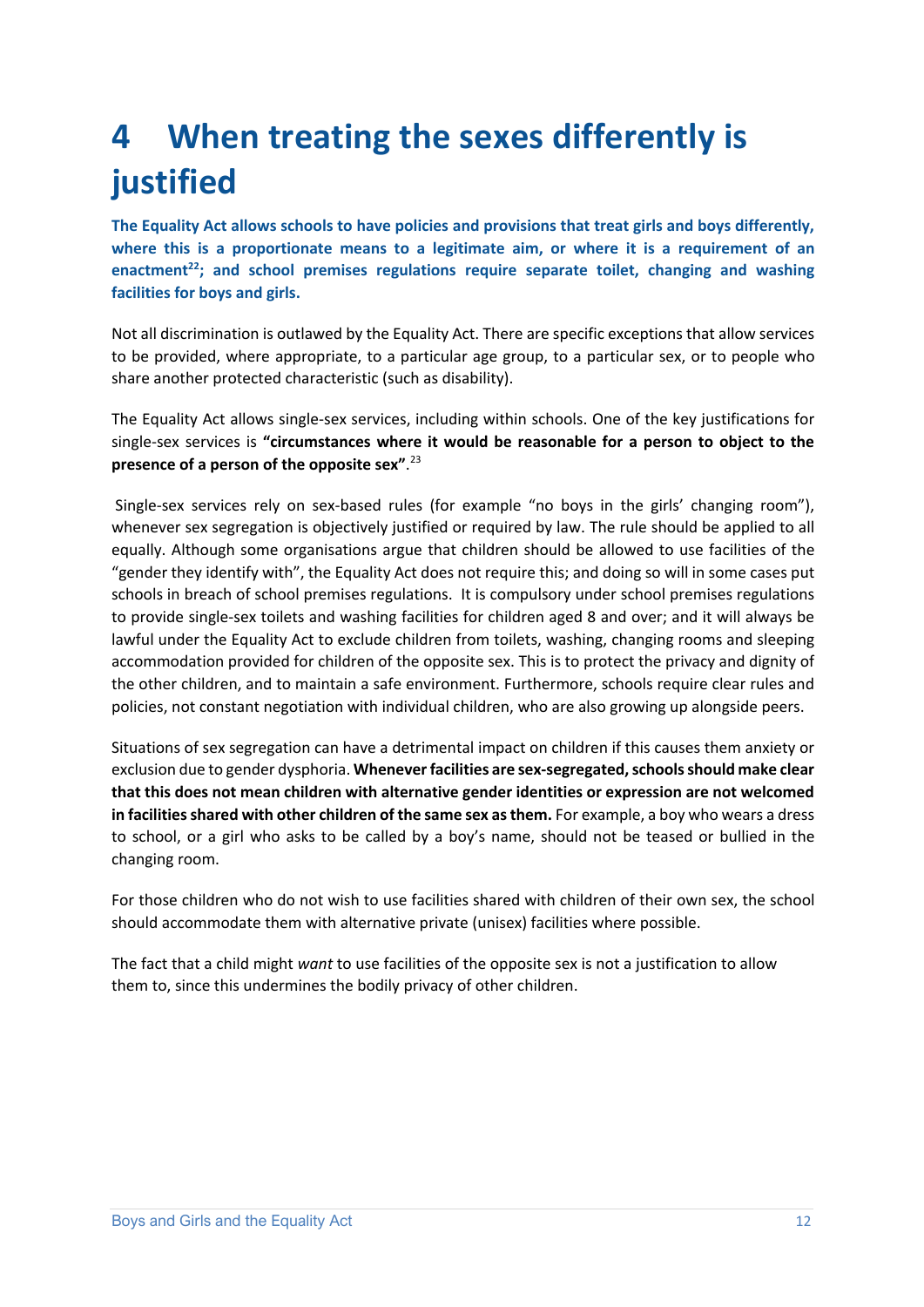# **4 When treating the sexes differently is justified**

**The Equality Act allows schools to have policies and provisions that treat girls and boys differently, where this is a proportionate means to a legitimate aim, or where it is a requirement of an**  enactment<sup>22</sup>; and school premises regulations require separate toilet, changing and washing **facilities for boys and girls.**

Not all discrimination is outlawed by the Equality Act. There are specific exceptions that allow services to be provided, where appropriate, to a particular age group, to a particular sex, or to people who share another protected characteristic (such as disability).

The Equality Act allows single-sex services, including within schools. One of the key justifications for single-sex services is **"circumstances where it would be reasonable for a person to object to the presence of a person of the opposite sex"**. 23

Single-sex services rely on sex-based rules (for example "no boys in the girls' changing room"), whenever sex segregation is objectively justified or required by law. The rule should be applied to all equally. Although some organisations argue that children should be allowed to use facilities of the "gender they identify with", the Equality Act does not require this; and doing so will in some cases put schools in breach of school premises regulations. It is compulsory under school premises regulations to provide single-sex toilets and washing facilities for children aged 8 and over; and it will always be lawful under the Equality Act to exclude children from toilets, washing, changing rooms and sleeping accommodation provided for children of the opposite sex. This is to protect the privacy and dignity of the other children, and to maintain a safe environment. Furthermore, schools require clear rules and policies, not constant negotiation with individual children, who are also growing up alongside peers.

Situations of sex segregation can have a detrimental impact on children if this causes them anxiety or exclusion due to gender dysphoria. **Whenever facilities are sex-segregated, schools should make clear that this does not mean children with alternative gender identities or expression are not welcomed in facilities shared with other children of the same sex as them.** For example, a boy who wears a dress to school, or a girl who asks to be called by a boy's name, should not be teased or bullied in the changing room.

For those children who do not wish to use facilities shared with children of their own sex, the school should accommodate them with alternative private (unisex) facilities where possible.

The fact that a child might *want* to use facilities of the opposite sex is not a justification to allow them to, since this undermines the bodily privacy of other children.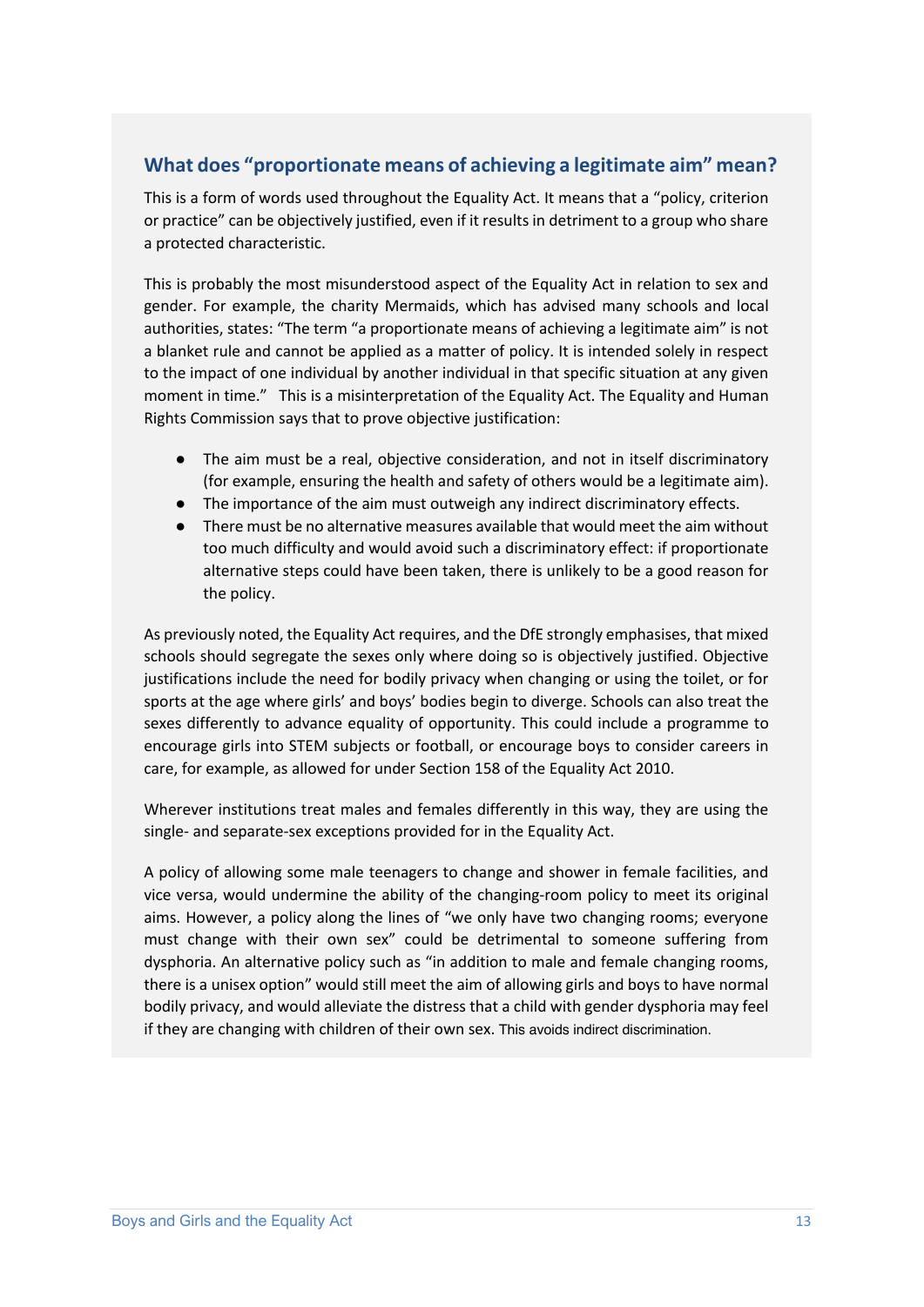#### **What does "proportionate means of achieving a legitimate aim" mean?**

This is a form of words used throughout the Equality Act. It means that a "policy, criterion or practice" can be objectively justified, even if it results in detriment to a group who share a protected characteristic.

This is probably the most misunderstood aspect of the Equality Act in relation to sex and gender. For example, the charity Mermaids, which has advised many schools and local authorities, states: "The term "a proportionate means of achieving a legitimate aim" is not a blanket rule and cannot be applied as a matter of policy. It is intended solely in respect to the impact of one individual by another individual in that specific situation at any given moment in time." This is a misinterpretation of the Equality Act. The Equality and Human Rights Commission says that to prove objective justification:

- The aim must be a real, objective consideration, and not in itself discriminatory (for example, ensuring the health and safety of others would be a legitimate aim).
- The importance of the aim must outweigh any indirect discriminatory effects.
- There must be no alternative measures available that would meet the aim without too much difficulty and would avoid such a discriminatory effect: if proportionate alternative steps could have been taken, there is unlikely to be a good reason for the policy.

As previously noted, the Equality Act requires, and the DfE strongly emphasises, that mixed schools should segregate the sexes only where doing so is objectively justified. Objective justifications include the need for bodily privacy when changing or using the toilet, or for sports at the age where girls' and boys' bodies begin to diverge. Schools can also treat the sexes differently to advance equality of opportunity. This could include a programme to encourage girls into STEM subjects or football, or encourage boys to consider careers in care, for example, as allowed for under Section 158 of the Equality Act 2010.

Wherever institutions treat males and females differently in this way, they are using the single- and separate-sex exceptions provided for in the Equality Act.

A policy of allowing some male teenagers to change and shower in female facilities, and vice versa, would undermine the ability of the changing-room policy to meet its original aims. However, a policy along the lines of "we only have two changing rooms; everyone must change with their own sex" could be detrimental to someone suffering from dysphoria. An alternative policy such as "in addition to male and female changing rooms, there is a unisex option" would still meet the aim of allowing girls and boys to have normal bodily privacy, and would alleviate the distress that a child with gender dysphoria may feel if they are changing with children of their own sex. This avoids indirect discrimination.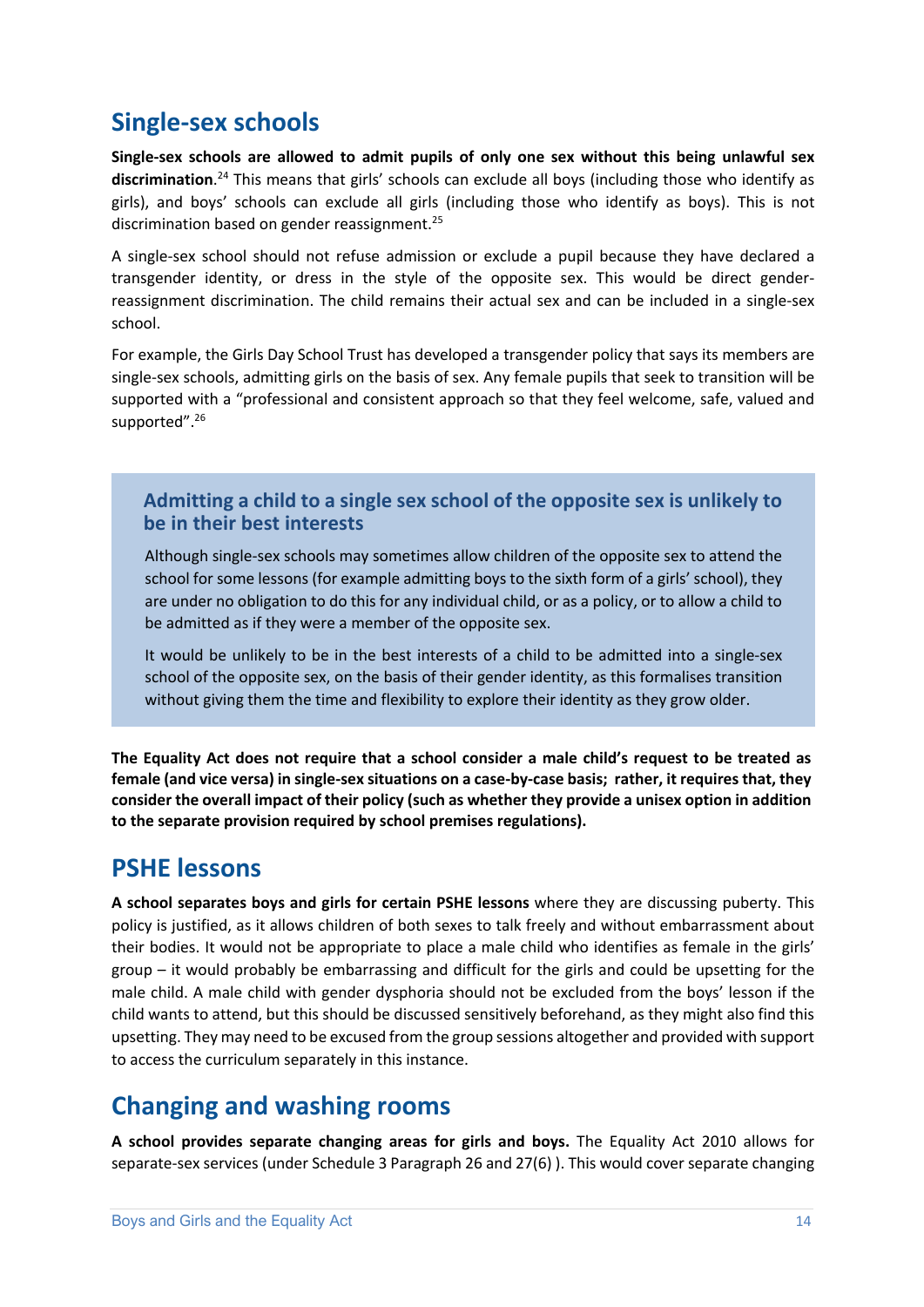### **Single-sex schools**

**Single-sex schools are allowed to admit pupils of only one sex without this being unlawful sex discrimination**. <sup>24</sup> This means that girls' schools can exclude all boys (including those who identify as girls), and boys' schools can exclude all girls (including those who identify as boys). This is not discrimination based on gender reassignment.<sup>25</sup>

A single-sex school should not refuse admission or exclude a pupil because they have declared a transgender identity, or dress in the style of the opposite sex. This would be direct genderreassignment discrimination. The child remains their actual sex and can be included in a single-sex school.

For example, the Girls Day School Trust has developed a transgender policy that says its members are single-sex schools, admitting girls on the basis of sex. Any female pupils that seek to transition will be supported with a "professional and consistent approach so that they feel welcome, safe, valued and supported".<sup>26</sup>

#### **Admitting a child to a single sex school of the opposite sex is unlikely to be in their best interests**

Although single-sex schools may sometimes allow children of the opposite sex to attend the school for some lessons (for example admitting boys to the sixth form of a girls' school), they are under no obligation to do this for any individual child, or as a policy, or to allow a child to be admitted as if they were a member of the opposite sex.

It would be unlikely to be in the best interests of a child to be admitted into a single-sex school of the opposite sex, on the basis of their gender identity, as this formalises transition without giving them the time and flexibility to explore their identity as they grow older.

**The Equality Act does not require that a school consider a male child's request to be treated as female (and vice versa) in single-sex situations on a case-by-case basis; rather, it requires that, they consider the overall impact of their policy (such as whether they provide a unisex option in addition to the separate provision required by school premises regulations).** 

### **PSHE lessons**

**A school separates boys and girls for certain PSHE lessons** where they are discussing puberty. This policy is justified, as it allows children of both sexes to talk freely and without embarrassment about their bodies. It would not be appropriate to place a male child who identifies as female in the girls' group – it would probably be embarrassing and difficult for the girls and could be upsetting for the male child. A male child with gender dysphoria should not be excluded from the boys' lesson if the child wants to attend, but this should be discussed sensitively beforehand, as they might also find this upsetting. They may need to be excused from the group sessions altogether and provided with support to access the curriculum separately in this instance.

### **Changing and washing rooms**

**A school provides separate changing areas for girls and boys.** The Equality Act 2010 allows for separate-sex services (under Schedule 3 Paragraph 26 and 27(6) ). This would cover separate changing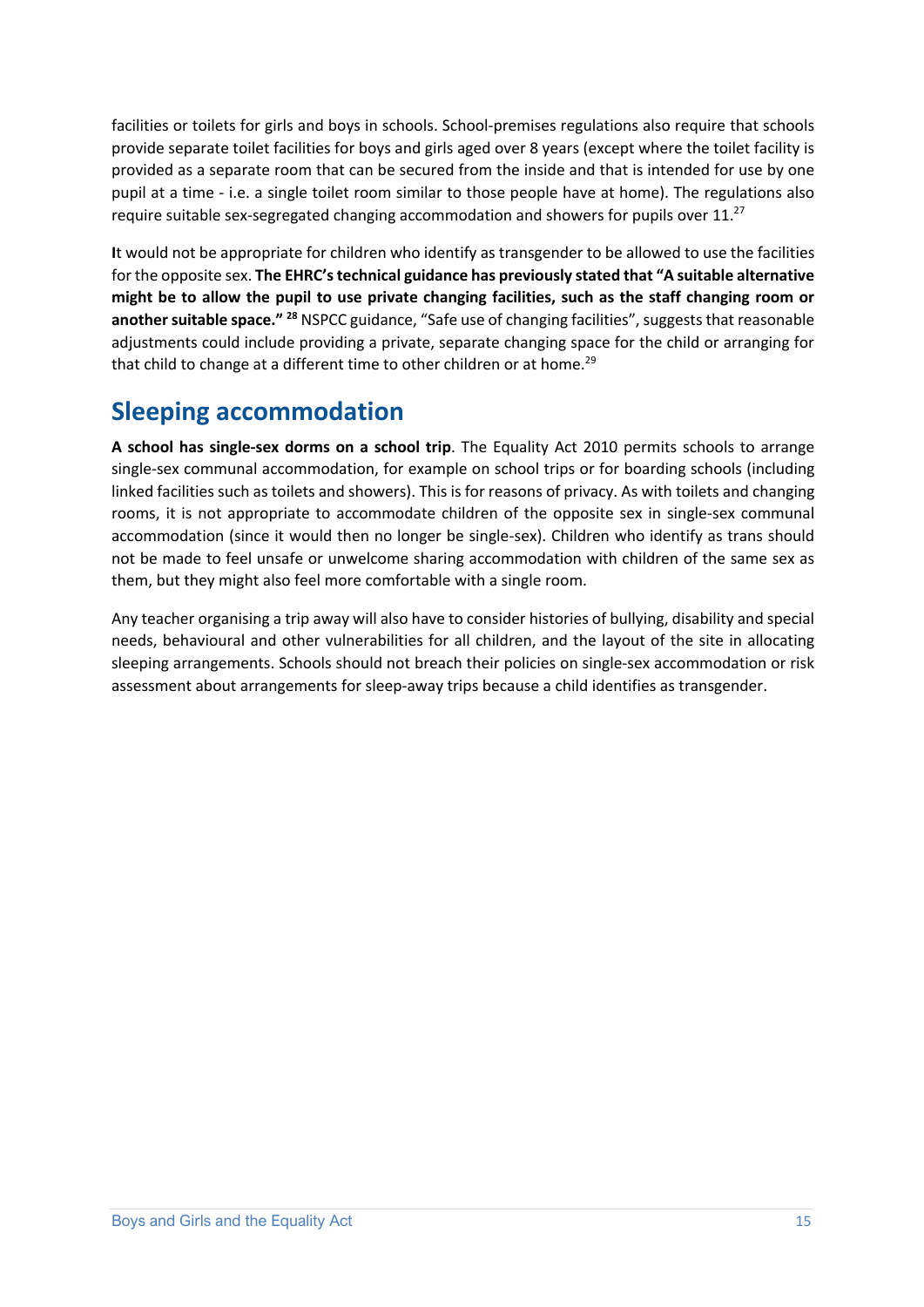facilities or toilets for girls and boys in schools. School-premises regulations also require that schools provide separate toilet facilities for boys and girls aged over 8 years (except where the toilet facility is provided as a separate room that can be secured from the inside and that is intended for use by one pupil at a time - i.e. a single toilet room similar to those people have at home). The regulations also require suitable sex-segregated changing accommodation and showers for pupils over  $11.^{27}$ 

**I**t would not be appropriate for children who identify as transgender to be allowed to use the facilities for the opposite sex. **The EHRC's technical guidance has previously stated that "A suitable alternative might be to allow the pupil to use private changing facilities, such as the staff changing room or another suitable space." 28** NSPCC guidance, "Safe use of changing facilities", suggests that reasonable adjustments could include providing a private, separate changing space for the child or arranging for that child to change at a different time to other children or at home.<sup>29</sup>

# **Sleeping accommodation**

**A school has single-sex dorms on a school trip**. The Equality Act 2010 permits schools to arrange single-sex communal accommodation, for example on school trips or for boarding schools (including linked facilities such as toilets and showers). This is for reasons of privacy. As with toilets and changing rooms, it is not appropriate to accommodate children of the opposite sex in single-sex communal accommodation (since it would then no longer be single-sex). Children who identify as trans should not be made to feel unsafe or unwelcome sharing accommodation with children of the same sex as them, but they might also feel more comfortable with a single room.

Any teacher organising a trip away will also have to consider histories of bullying, disability and special needs, behavioural and other vulnerabilities for all children, and the layout of the site in allocating sleeping arrangements. Schools should not breach their policies on single-sex accommodation or risk assessment about arrangements for sleep-away trips because a child identifies as transgender.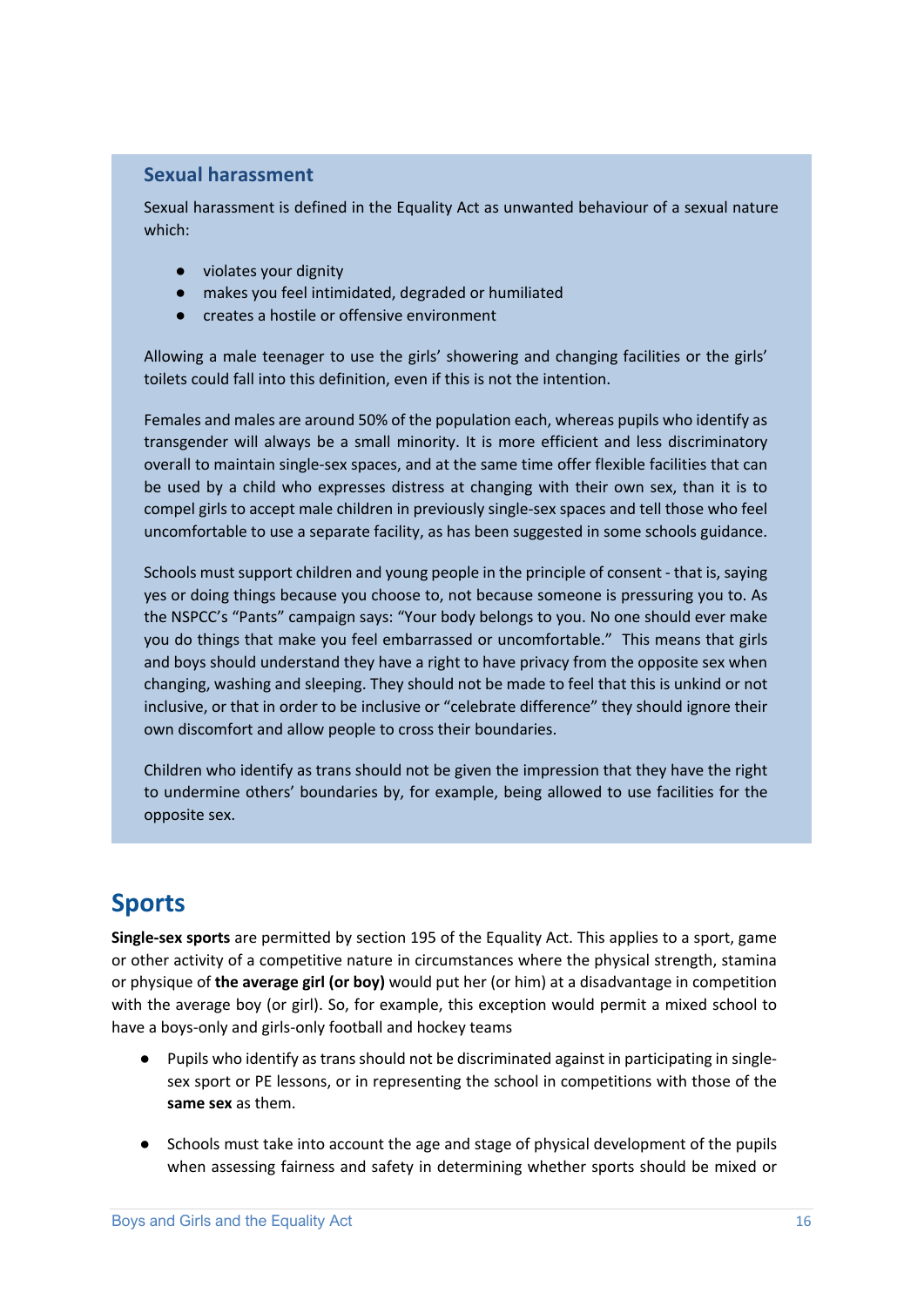#### **Sexual harassment**

Sexual harassment is defined in the Equality Act as unwanted behaviour of a sexual nature which:

- violates your dignity
- makes you feel intimidated, degraded or humiliated
- creates a hostile or offensive environment

Allowing a male teenager to use the girls' showering and changing facilities or the girls' toilets could fall into this definition, even if this is not the intention.

Females and males are around 50% of the population each, whereas pupils who identify as transgender will always be a small minority. It is more efficient and less discriminatory overall to maintain single-sex spaces, and at the same time offer flexible facilities that can be used by a child who expresses distress at changing with their own sex, than it is to compel girls to accept male children in previously single-sex spaces and tell those who feel uncomfortable to use a separate facility, as has been suggested in some schools guidance.

Schools must support children and young people in the principle of consent - that is, saying yes or doing things because you choose to, not because someone is pressuring you to. As the NSPCC's "Pants" campaign says: "Your body belongs to you. No one should ever make you do things that make you feel embarrassed or uncomfortable." This means that girls and boys should understand they have a right to have privacy from the opposite sex when changing, washing and sleeping. They should not be made to feel that this is unkind or not inclusive, or that in order to be inclusive or "celebrate difference" they should ignore their own discomfort and allow people to cross their boundaries.

Children who identify as trans should not be given the impression that they have the right to undermine others' boundaries by, for example, being allowed to use facilities for the opposite sex.

# **Sports**

**Single-sex sports** are permitted by section 195 of the Equality Act. This applies to a sport, game or other activity of a competitive nature in circumstances where the physical strength, stamina or physique of **the average girl (or boy)** would put her (or him) at a disadvantage in competition with the average boy (or girl). So, for example, this exception would permit a mixed school to have a boys-only and girls-only football and hockey teams

- Pupils who identify as trans should not be discriminated against in participating in singlesex sport or PE lessons, or in representing the school in competitions with those of the **same sex** as them.
- Schools must take into account the age and stage of physical development of the pupils when assessing fairness and safety in determining whether sports should be mixed or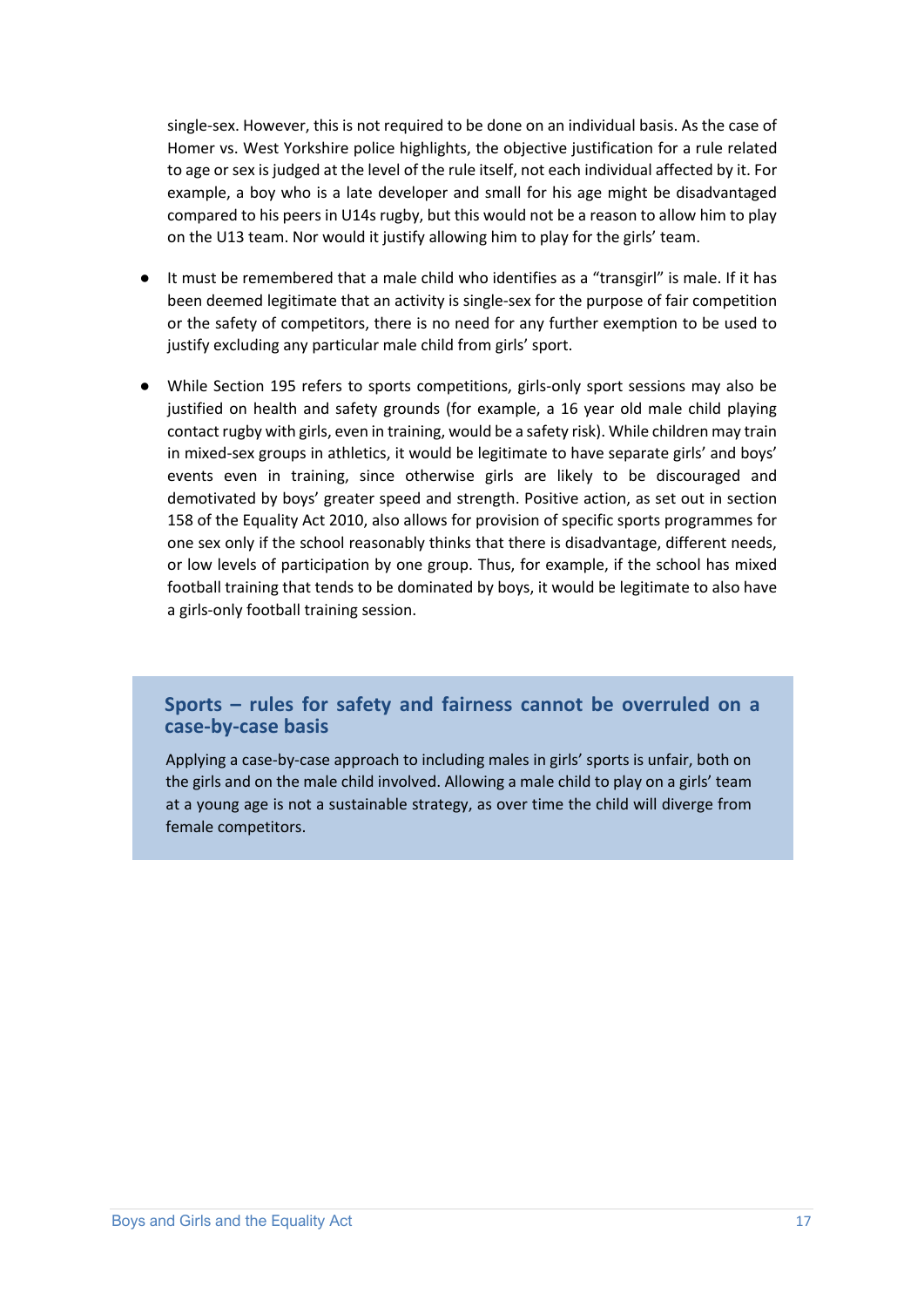single-sex. However, this is not required to be done on an individual basis. As the case of Homer vs. West Yorkshire police highlights, the objective justification for a rule related to age or sex is judged at the level of the rule itself, not each individual affected by it. For example, a boy who is a late developer and small for his age might be disadvantaged compared to his peers in U14s rugby, but this would not be a reason to allow him to play on the U13 team. Nor would it justify allowing him to play for the girls' team.

- It must be remembered that a male child who identifies as a "transgirl" is male. If it has been deemed legitimate that an activity is single-sex for the purpose of fair competition or the safety of competitors, there is no need for any further exemption to be used to justify excluding any particular male child from girls' sport.
- While Section 195 refers to sports competitions, girls-only sport sessions may also be justified on health and safety grounds (for example, a 16 year old male child playing contact rugby with girls, even in training, would be a safety risk). While children may train in mixed-sex groups in athletics, it would be legitimate to have separate girls' and boys' events even in training, since otherwise girls are likely to be discouraged and demotivated by boys' greater speed and strength. Positive action, as set out in section 158 of the Equality Act 2010, also allows for provision of specific sports programmes for one sex only if the school reasonably thinks that there is disadvantage, different needs, or low levels of participation by one group. Thus, for example, if the school has mixed football training that tends to be dominated by boys, it would be legitimate to also have a girls-only football training session.

#### **Sports – rules for safety and fairness cannot be overruled on a case-by-case basis**

Applying a case-by-case approach to including males in girls' sports is unfair, both on the girls and on the male child involved. Allowing a male child to play on a girls' team at a young age is not a sustainable strategy, as over time the child will diverge from female competitors.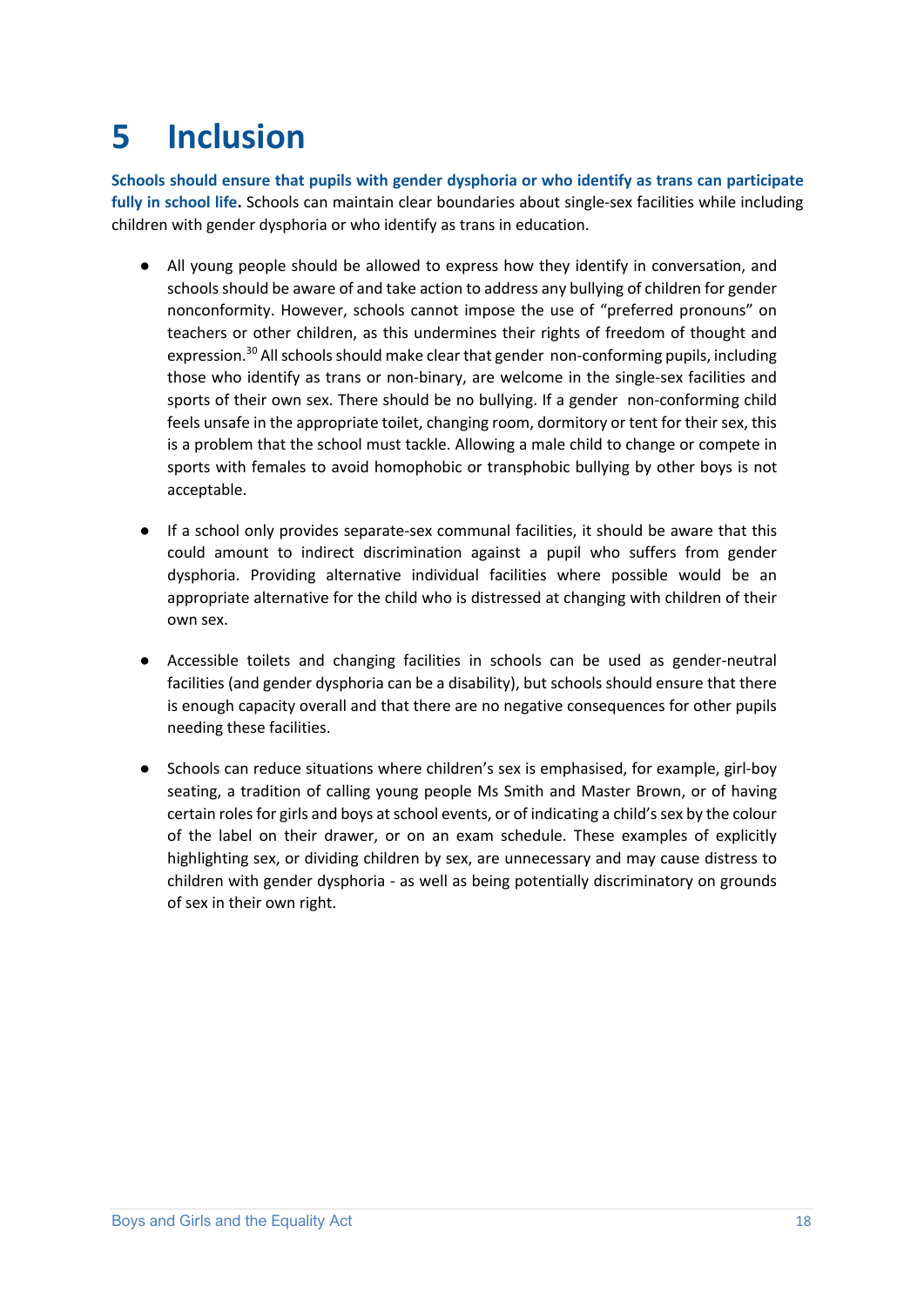# **5 Inclusion**

**Schools should ensure that pupils with gender dysphoria or who identify as trans can participate fully in school life.** Schools can maintain clear boundaries about single-sex facilities while including children with gender dysphoria or who identify as trans in education.

- All young people should be allowed to express how they identify in conversation, and schools should be aware of and take action to address any bullying of children for gender nonconformity. However, schools cannot impose the use of "preferred pronouns" on teachers or other children, as this undermines their rights of freedom of thought and expression.<sup>30</sup> All schools should make clear that gender non-conforming pupils, including those who identify as trans or non-binary, are welcome in the single-sex facilities and sports of their own sex. There should be no bullying. If a gender non-conforming child feels unsafe in the appropriate toilet, changing room, dormitory or tent for their sex, this is a problem that the school must tackle. Allowing a male child to change or compete in sports with females to avoid homophobic or transphobic bullying by other boys is not acceptable.
- If a school only provides separate-sex communal facilities, it should be aware that this could amount to indirect discrimination against a pupil who suffers from gender dysphoria. Providing alternative individual facilities where possible would be an appropriate alternative for the child who is distressed at changing with children of their own sex.
- Accessible toilets and changing facilities in schools can be used as gender-neutral facilities (and gender dysphoria can be a disability), but schools should ensure that there is enough capacity overall and that there are no negative consequences for other pupils needing these facilities.
- Schools can reduce situations where children's sex is emphasised, for example, girl-boy seating, a tradition of calling young people Ms Smith and Master Brown, or of having certain roles for girls and boys at school events, or of indicating a child's sex by the colour of the label on their drawer, or on an exam schedule. These examples of explicitly highlighting sex, or dividing children by sex, are unnecessary and may cause distress to children with gender dysphoria - as well as being potentially discriminatory on grounds of sex in their own right.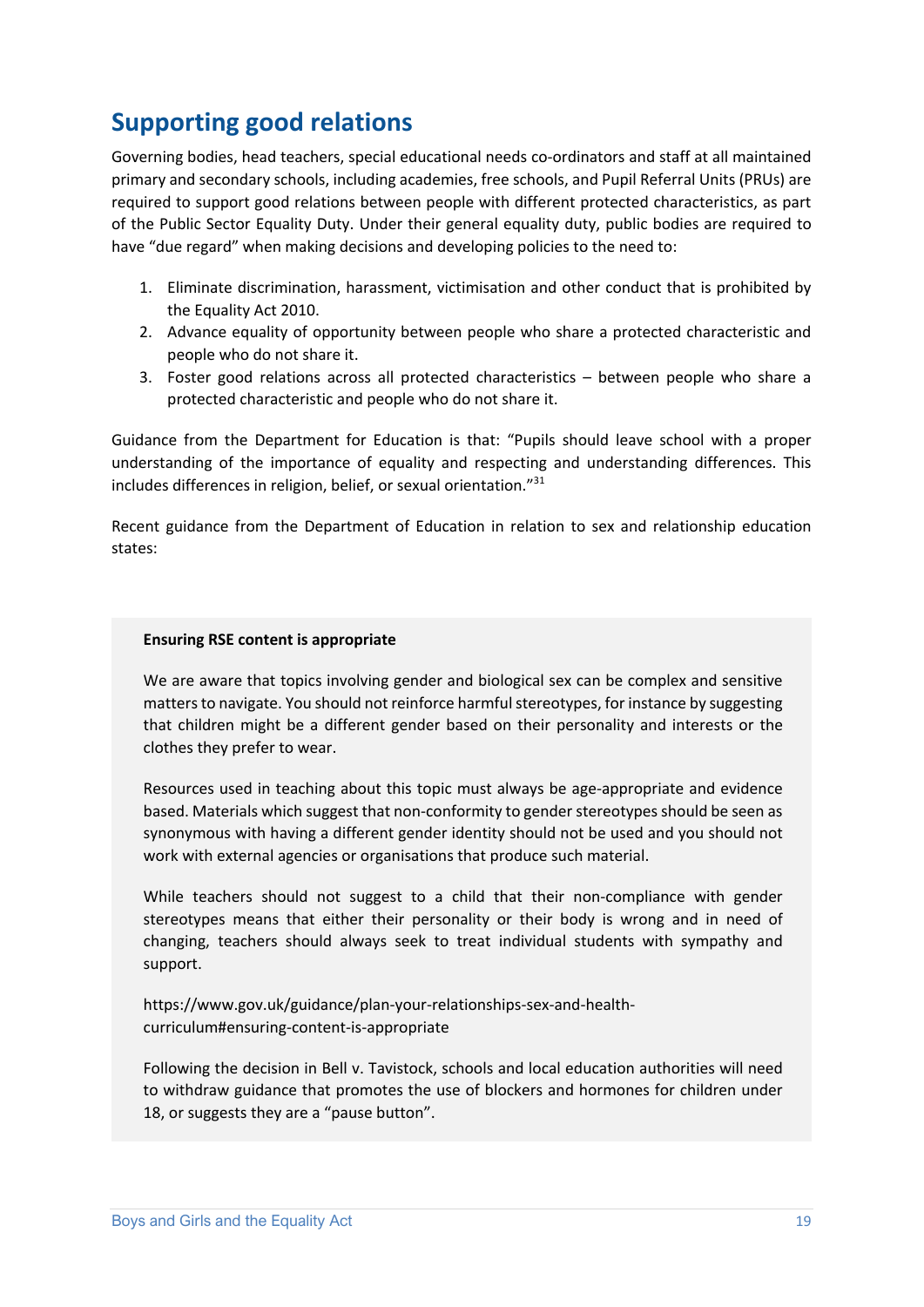# **Supporting good relations**

Governing bodies, head teachers, special educational needs co-ordinators and staff at all maintained primary and secondary schools, including academies, free schools, and Pupil Referral Units (PRUs) are required to support good relations between people with different protected characteristics, as part of the Public Sector Equality Duty. Under their general equality duty, public bodies are required to have "due regard" when making decisions and developing policies to the need to:

- 1. Eliminate discrimination, harassment, victimisation and other conduct that is prohibited by the Equality Act 2010.
- 2. Advance equality of opportunity between people who share a protected characteristic and people who do not share it.
- 3. Foster good relations across all protected characteristics between people who share a protected characteristic and people who do not share it.

Guidance from the Department for Education is that: "Pupils should leave school with a proper understanding of the importance of equality and respecting and understanding differences. This includes differences in religion, belief, or sexual orientation."31

Recent guidance from the Department of Education in relation to sex and relationship education states:

#### **Ensuring RSE content is appropriate**

We are aware that topics involving gender and biological sex can be complex and sensitive matters to navigate. You should not reinforce harmful stereotypes, for instance by suggesting that children might be a different gender based on their personality and interests or the clothes they prefer to wear.

Resources used in teaching about this topic must always be age-appropriate and evidence based. Materials which suggest that non-conformity to gender stereotypes should be seen as synonymous with having a different gender identity should not be used and you should not work with external agencies or organisations that produce such material.

While teachers should not suggest to a child that their non-compliance with gender stereotypes means that either their personality or their body is wrong and in need of changing, teachers should always seek to treat individual students with sympathy and support.

https://www.gov.uk/guidance/plan-your-relationships-sex-and-healthcurriculum#ensuring-content-is-appropriate

Following the decision in Bell v. Tavistock, schools and local education authorities will need to withdraw guidance that promotes the use of blockers and hormones for children under 18, or suggests they are a "pause button".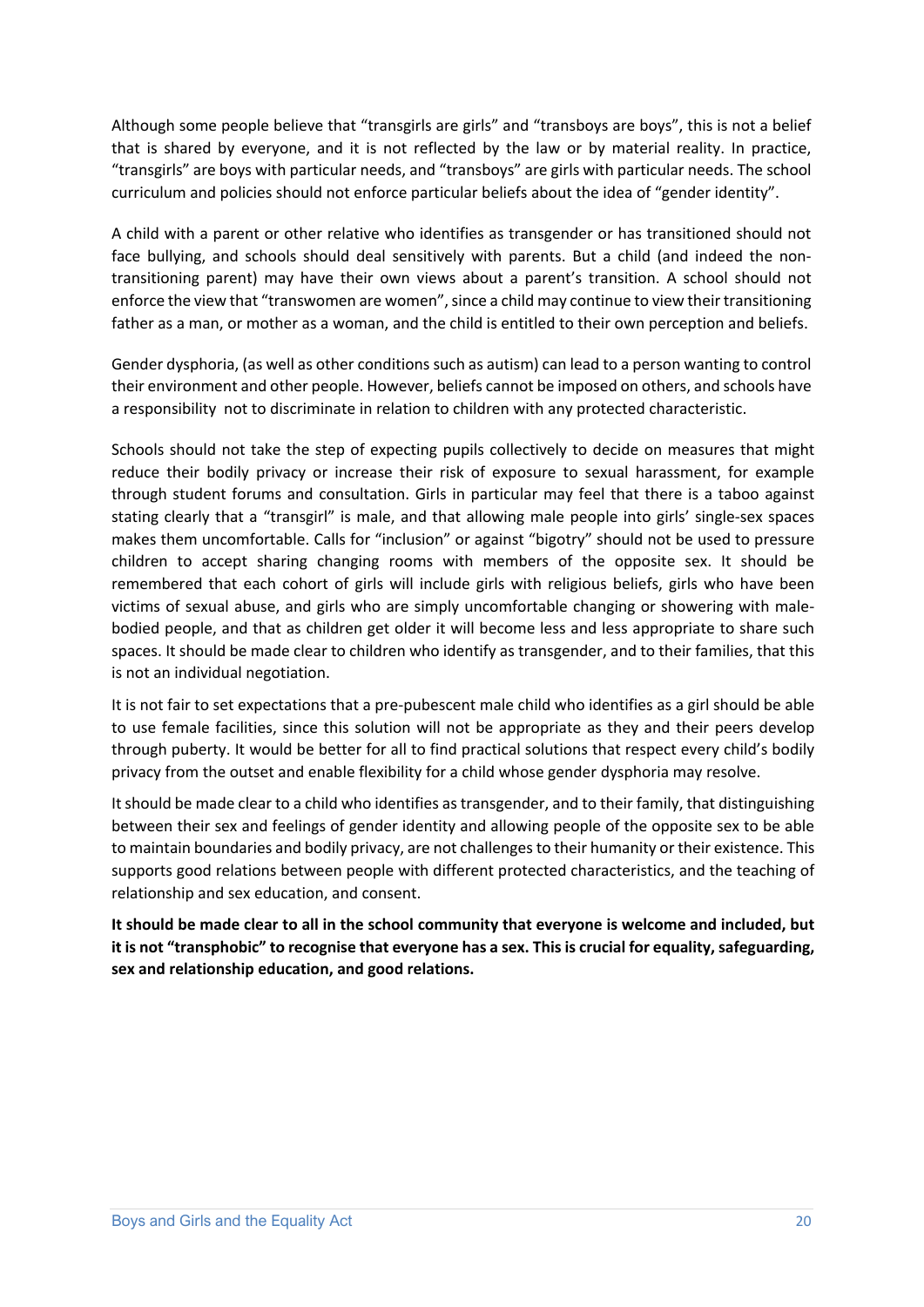Although some people believe that "transgirls are girls" and "transboys are boys", this is not a belief that is shared by everyone, and it is not reflected by the law or by material reality. In practice, "transgirls" are boys with particular needs, and "transboys" are girls with particular needs. The school curriculum and policies should not enforce particular beliefs about the idea of "gender identity".

A child with a parent or other relative who identifies as transgender or has transitioned should not face bullying, and schools should deal sensitively with parents. But a child (and indeed the nontransitioning parent) may have their own views about a parent's transition. A school should not enforce the view that "transwomen are women", since a child may continue to view their transitioning father as a man, or mother as a woman, and the child is entitled to their own perception and beliefs.

Gender dysphoria, (as well as other conditions such as autism) can lead to a person wanting to control their environment and other people. However, beliefs cannot be imposed on others, and schools have a responsibility not to discriminate in relation to children with any protected characteristic.

Schools should not take the step of expecting pupils collectively to decide on measures that might reduce their bodily privacy or increase their risk of exposure to sexual harassment, for example through student forums and consultation. Girls in particular may feel that there is a taboo against stating clearly that a "transgirl" is male, and that allowing male people into girls' single-sex spaces makes them uncomfortable. Calls for "inclusion" or against "bigotry" should not be used to pressure children to accept sharing changing rooms with members of the opposite sex. It should be remembered that each cohort of girls will include girls with religious beliefs, girls who have been victims of sexual abuse, and girls who are simply uncomfortable changing or showering with malebodied people, and that as children get older it will become less and less appropriate to share such spaces. It should be made clear to children who identify as transgender, and to their families, that this is not an individual negotiation.

It is not fair to set expectations that a pre-pubescent male child who identifies as a girl should be able to use female facilities, since this solution will not be appropriate as they and their peers develop through puberty. It would be better for all to find practical solutions that respect every child's bodily privacy from the outset and enable flexibility for a child whose gender dysphoria may resolve.

It should be made clear to a child who identifies as transgender, and to their family, that distinguishing between their sex and feelings of gender identity and allowing people of the opposite sex to be able to maintain boundaries and bodily privacy, are not challenges to their humanity or their existence. This supports good relations between people with different protected characteristics, and the teaching of relationship and sex education, and consent.

**It should be made clear to all in the school community that everyone is welcome and included, but it is not "transphobic" to recognise that everyone has a sex. This is crucial for equality, safeguarding, sex and relationship education, and good relations.**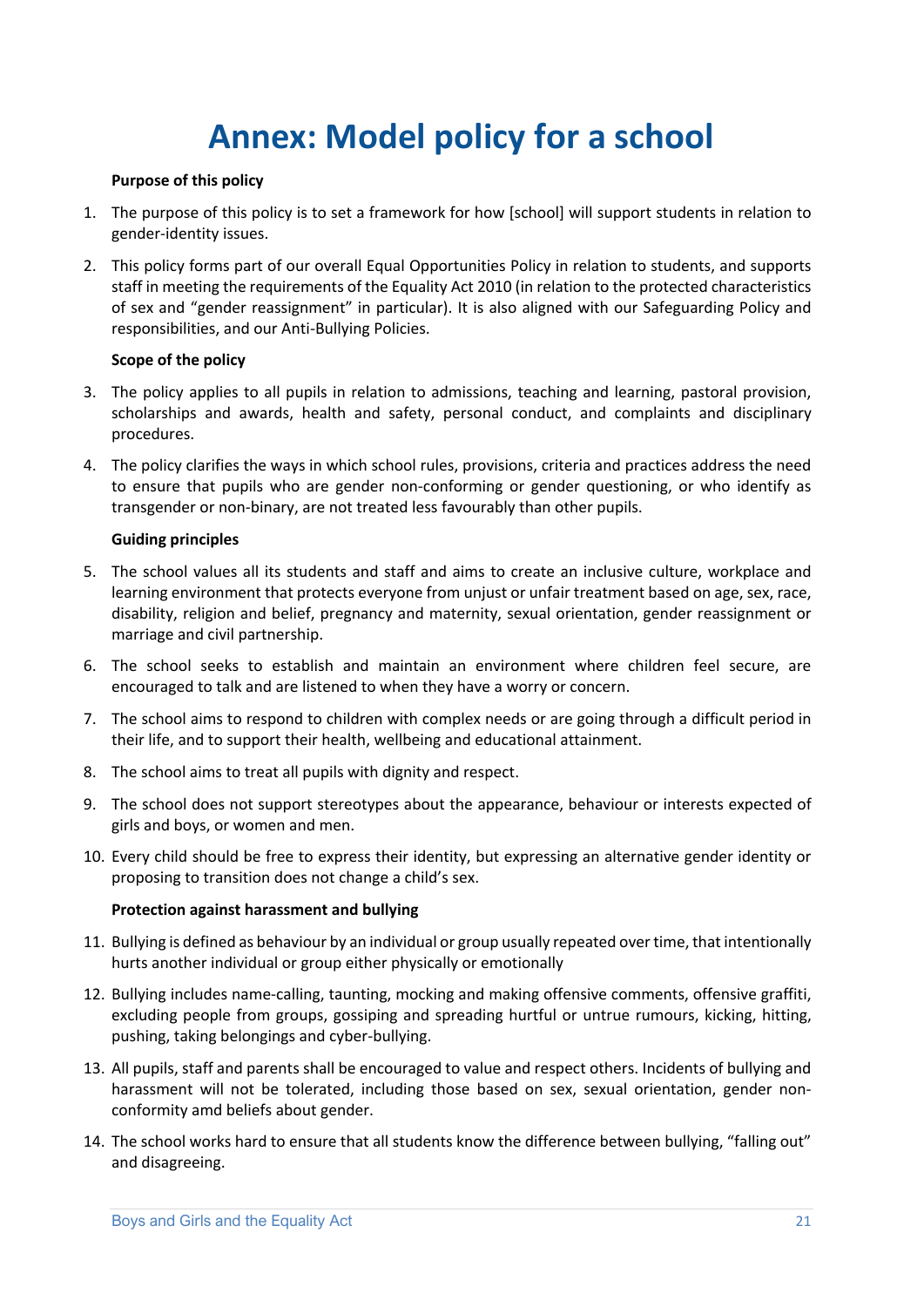# **Annex: Model policy for a school**

#### **Purpose of this policy**

- 1. The purpose of this policy is to set a framework for how [school] will support students in relation to gender-identity issues.
- 2. This policy forms part of our overall Equal Opportunities Policy in relation to students, and supports staff in meeting the requirements of the Equality Act 2010 (in relation to the protected characteristics of sex and "gender reassignment" in particular). It is also aligned with our Safeguarding Policy and responsibilities, and our Anti-Bullying Policies.

#### **Scope of the policy**

- 3. The policy applies to all pupils in relation to admissions, teaching and learning, pastoral provision, scholarships and awards, health and safety, personal conduct, and complaints and disciplinary procedures.
- 4. The policy clarifies the ways in which school rules, provisions, criteria and practices address the need to ensure that pupils who are gender non-conforming or gender questioning, or who identify as transgender or non-binary, are not treated less favourably than other pupils.

#### **Guiding principles**

- 5. The school values all its students and staff and aims to create an inclusive culture, workplace and learning environment that protects everyone from unjust or unfair treatment based on age, sex, race, disability, religion and belief, pregnancy and maternity, sexual orientation, gender reassignment or marriage and civil partnership.
- 6. The school seeks to establish and maintain an environment where children feel secure, are encouraged to talk and are listened to when they have a worry or concern.
- 7. The school aims to respond to children with complex needs or are going through a difficult period in their life, and to support their health, wellbeing and educational attainment.
- 8. The school aims to treat all pupils with dignity and respect.
- 9. The school does not support stereotypes about the appearance, behaviour or interests expected of girls and boys, or women and men.
- 10. Every child should be free to express their identity, but expressing an alternative gender identity or proposing to transition does not change a child's sex.

#### **Protection against harassment and bullying**

- 11. Bullying is defined as behaviour by an individual or group usually repeated over time, that intentionally hurts another individual or group either physically or emotionally
- 12. Bullying includes name-calling, taunting, mocking and making offensive comments, offensive graffiti, excluding people from groups, gossiping and spreading hurtful or untrue rumours, kicking, hitting, pushing, taking belongings and cyber-bullying.
- 13. All pupils, staff and parents shall be encouraged to value and respect others. Incidents of bullying and harassment will not be tolerated, including those based on sex, sexual orientation, gender nonconformity amd beliefs about gender.
- 14. The school works hard to ensure that all students know the difference between bullying, "falling out" and disagreeing.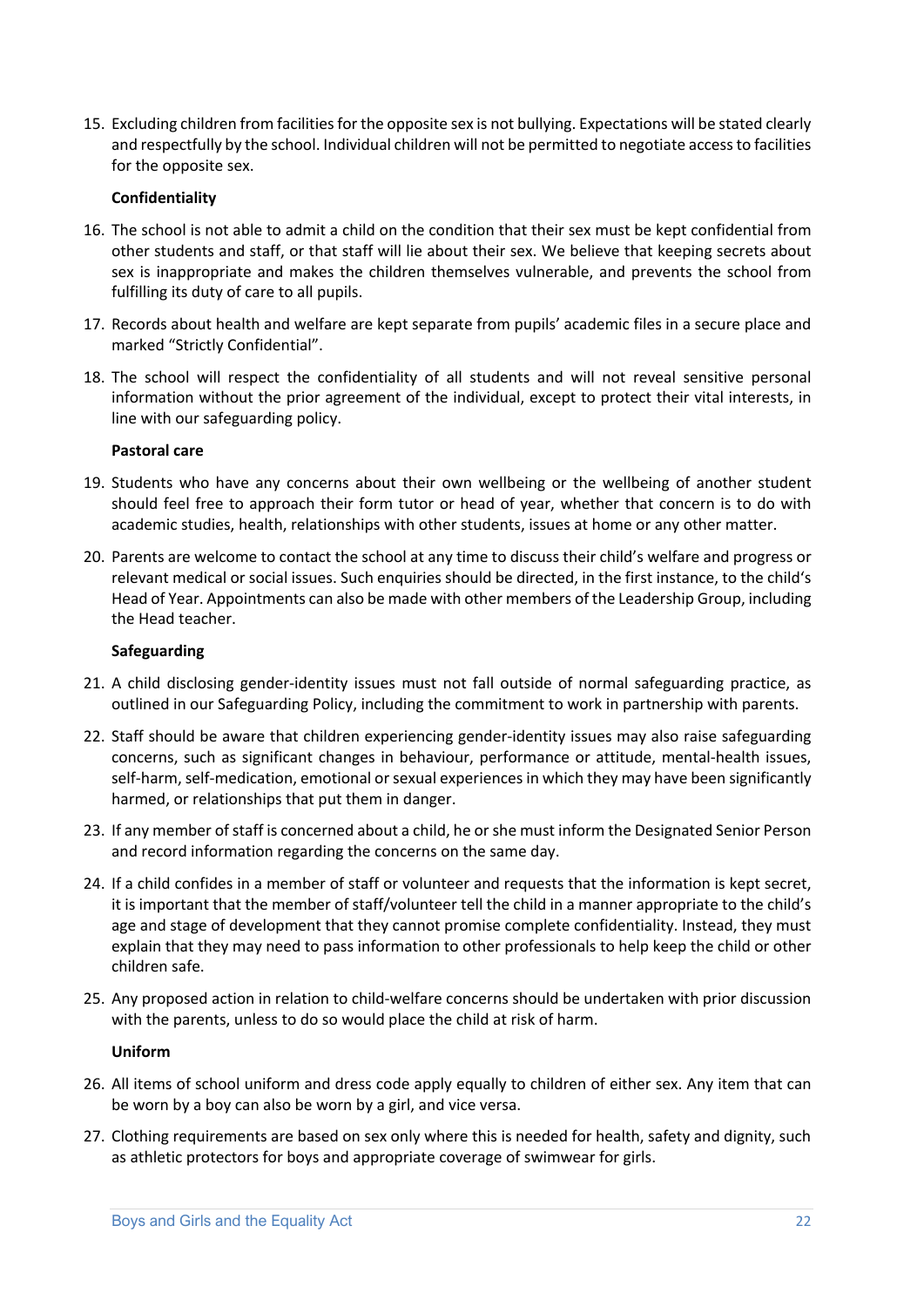15. Excluding children from facilities for the opposite sex is not bullying. Expectations will be stated clearly and respectfully by the school. Individual children will not be permitted to negotiate access to facilities for the opposite sex.

#### **Confidentiality**

- 16. The school is not able to admit a child on the condition that their sex must be kept confidential from other students and staff, or that staff will lie about their sex. We believe that keeping secrets about sex is inappropriate and makes the children themselves vulnerable, and prevents the school from fulfilling its duty of care to all pupils.
- 17. Records about health and welfare are kept separate from pupils' academic files in a secure place and marked "Strictly Confidential".
- 18. The school will respect the confidentiality of all students and will not reveal sensitive personal information without the prior agreement of the individual, except to protect their vital interests, in line with our safeguarding policy.

#### **Pastoral care**

- 19. Students who have any concerns about their own wellbeing or the wellbeing of another student should feel free to approach their form tutor or head of year, whether that concern is to do with academic studies, health, relationships with other students, issues at home or any other matter.
- 20. Parents are welcome to contact the school at any time to discuss their child's welfare and progress or relevant medical or social issues. Such enquiries should be directed, in the first instance, to the child's Head of Year. Appointments can also be made with other members of the Leadership Group, including the Head teacher.

#### **Safeguarding**

- 21. A child disclosing gender-identity issues must not fall outside of normal safeguarding practice, as outlined in our Safeguarding Policy, including the commitment to work in partnership with parents.
- 22. Staff should be aware that children experiencing gender-identity issues may also raise safeguarding concerns, such as significant changes in behaviour, performance or attitude, mental-health issues, self-harm, self-medication, emotional or sexual experiences in which they may have been significantly harmed, or relationships that put them in danger.
- 23. If any member of staff is concerned about a child, he or she must inform the Designated Senior Person and record information regarding the concerns on the same day.
- 24. If a child confides in a member of staff or volunteer and requests that the information is kept secret, it is important that the member of staff/volunteer tell the child in a manner appropriate to the child's age and stage of development that they cannot promise complete confidentiality. Instead, they must explain that they may need to pass information to other professionals to help keep the child or other children safe.
- 25. Any proposed action in relation to child-welfare concerns should be undertaken with prior discussion with the parents, unless to do so would place the child at risk of harm.

#### **Uniform**

- 26. All items of school uniform and dress code apply equally to children of either sex. Any item that can be worn by a boy can also be worn by a girl, and vice versa.
- 27. Clothing requirements are based on sex only where this is needed for health, safety and dignity, such as athletic protectors for boys and appropriate coverage of swimwear for girls.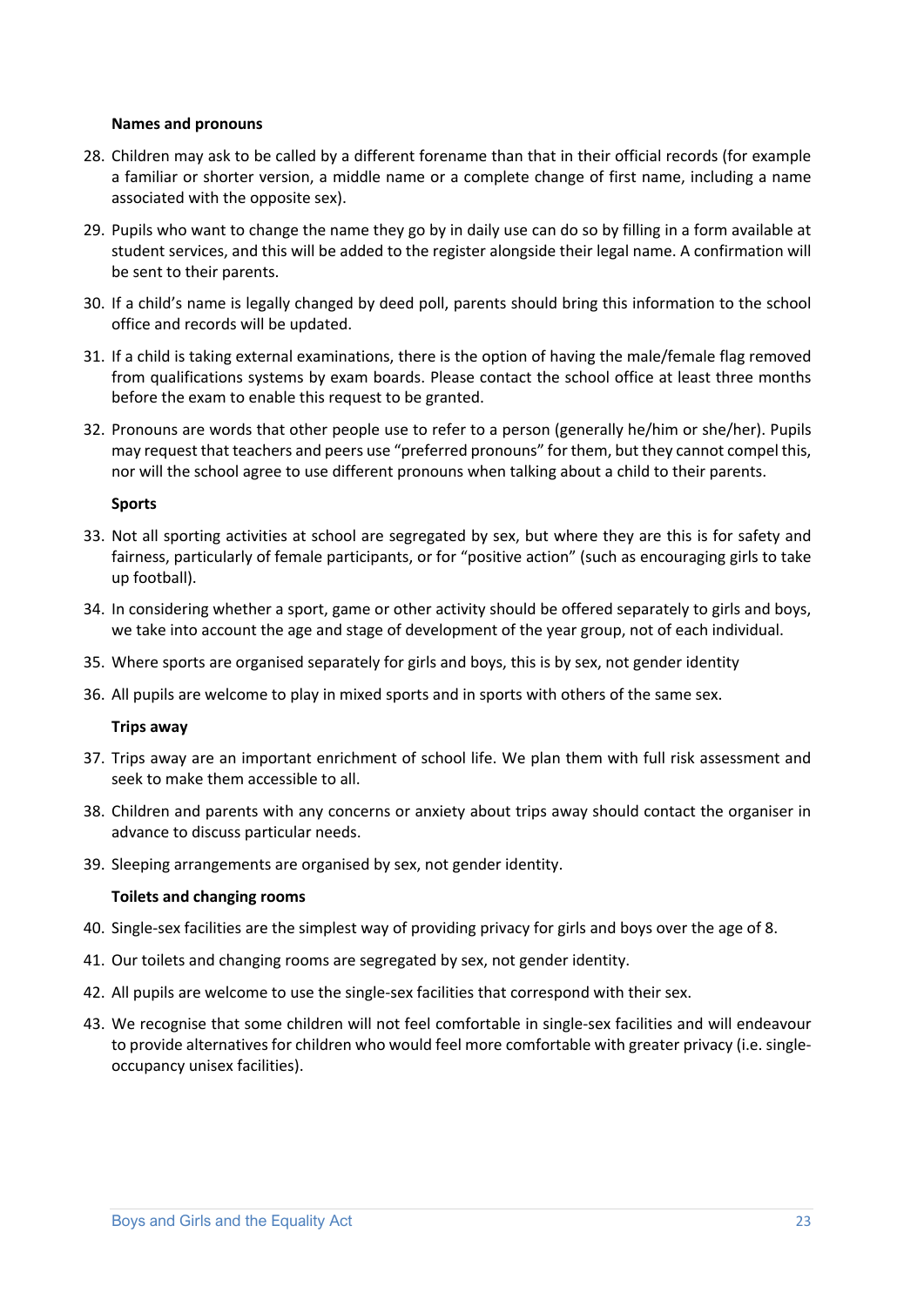#### **Names and pronouns**

- 28. Children may ask to be called by a different forename than that in their official records (for example a familiar or shorter version, a middle name or a complete change of first name, including a name associated with the opposite sex).
- 29. Pupils who want to change the name they go by in daily use can do so by filling in a form available at student services, and this will be added to the register alongside their legal name. A confirmation will be sent to their parents.
- 30. If a child's name is legally changed by deed poll, parents should bring this information to the school office and records will be updated.
- 31. If a child is taking external examinations, there is the option of having the male/female flag removed from qualifications systems by exam boards. Please contact the school office at least three months before the exam to enable this request to be granted.
- 32. Pronouns are words that other people use to refer to a person (generally he/him or she/her). Pupils may request that teachers and peers use "preferred pronouns" for them, but they cannot compel this, nor will the school agree to use different pronouns when talking about a child to their parents.

#### **Sports**

- 33. Not all sporting activities at school are segregated by sex, but where they are this is for safety and fairness, particularly of female participants, or for "positive action" (such as encouraging girls to take up football).
- 34. In considering whether a sport, game or other activity should be offered separately to girls and boys, we take into account the age and stage of development of the year group, not of each individual.
- 35. Where sports are organised separately for girls and boys, this is by sex, not gender identity
- 36. All pupils are welcome to play in mixed sports and in sports with others of the same sex.

#### **Trips away**

- 37. Trips away are an important enrichment of school life. We plan them with full risk assessment and seek to make them accessible to all.
- 38. Children and parents with any concerns or anxiety about trips away should contact the organiser in advance to discuss particular needs.
- 39. Sleeping arrangements are organised by sex, not gender identity.

#### **Toilets and changing rooms**

- 40. Single-sex facilities are the simplest way of providing privacy for girls and boys over the age of 8.
- 41. Our toilets and changing rooms are segregated by sex, not gender identity.
- 42. All pupils are welcome to use the single-sex facilities that correspond with their sex.
- 43. We recognise that some children will not feel comfortable in single-sex facilities and will endeavour to provide alternatives for children who would feel more comfortable with greater privacy (i.e. singleoccupancy unisex facilities).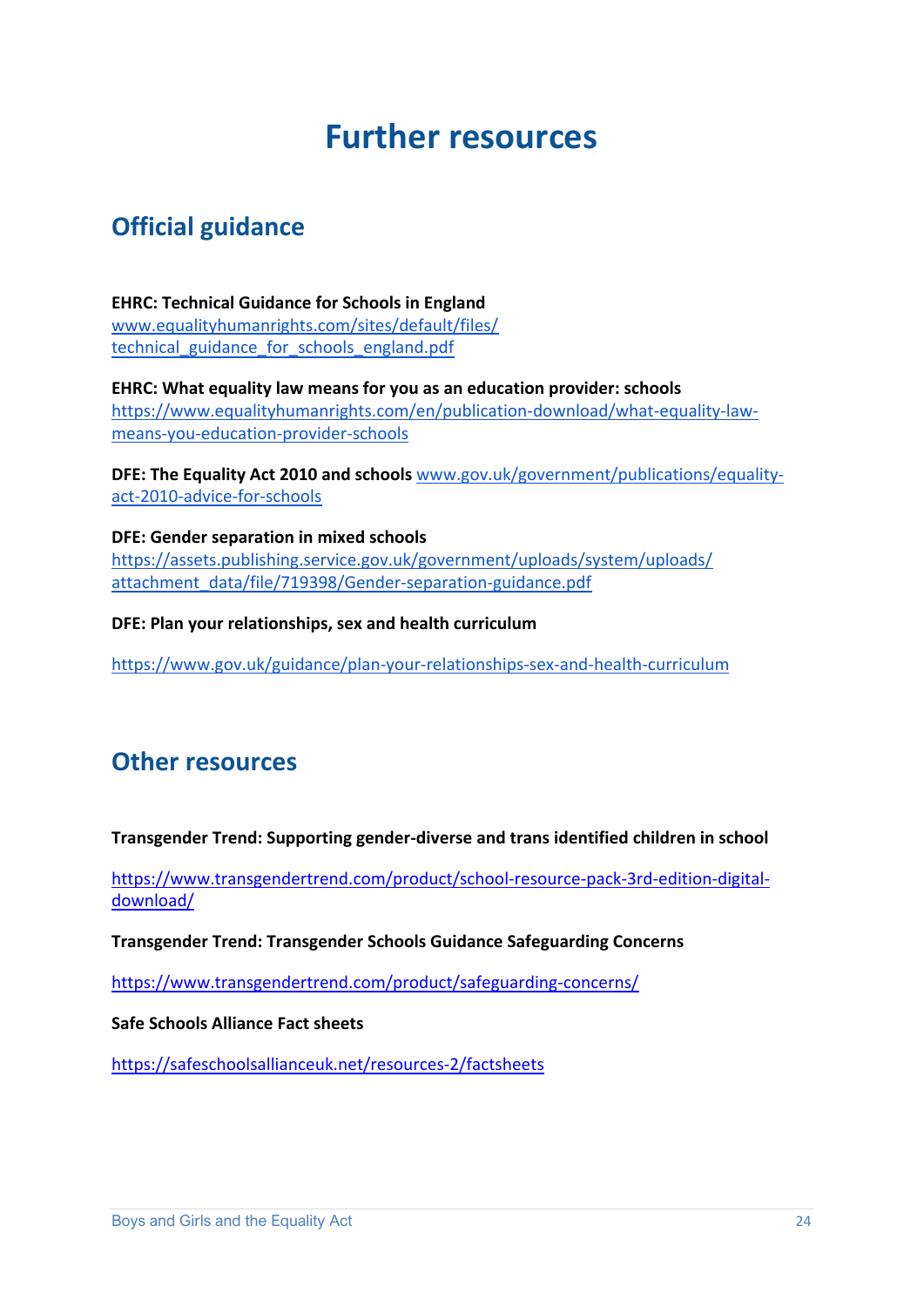# **Further resources**

# **Official guidance**

**EHRC: Technical Guidance for Schools in England** www.equalityhumanrights.com/sites/default/files/ technical guidance for schools england.pdf

**EHRC: What equality law means for you as an education provider: schools**  https://www.equalityhumanrights.com/en/publication-download/what-equality-lawmeans-you-education-provider-schools

**DFE: The Equality Act 2010 and schools** www.gov.uk/government/publications/equalityact-2010-advice-for-schools

**DFE: Gender separation in mixed schools** https://assets.publishing.service.gov.uk/government/uploads/system/uploads/ attachment data/file/719398/Gender-separation-guidance.pdf

**DFE: Plan your relationships, sex and health curriculum**

https://www.gov.uk/guidance/plan-your-relationships-sex-and-health-curriculum

### **Other resources**

#### **Transgender Trend: Supporting gender-diverse and trans identified children in school**

https://www.transgendertrend.com/product/school-resource-pack-3rd-edition-digitaldownload/

**Transgender Trend: Transgender Schools Guidance Safeguarding Concerns**

https://www.transgendertrend.com/product/safeguarding-concerns/

#### **Safe Schools Alliance Fact sheets**

https://safeschoolsallianceuk.net/resources-2/factsheets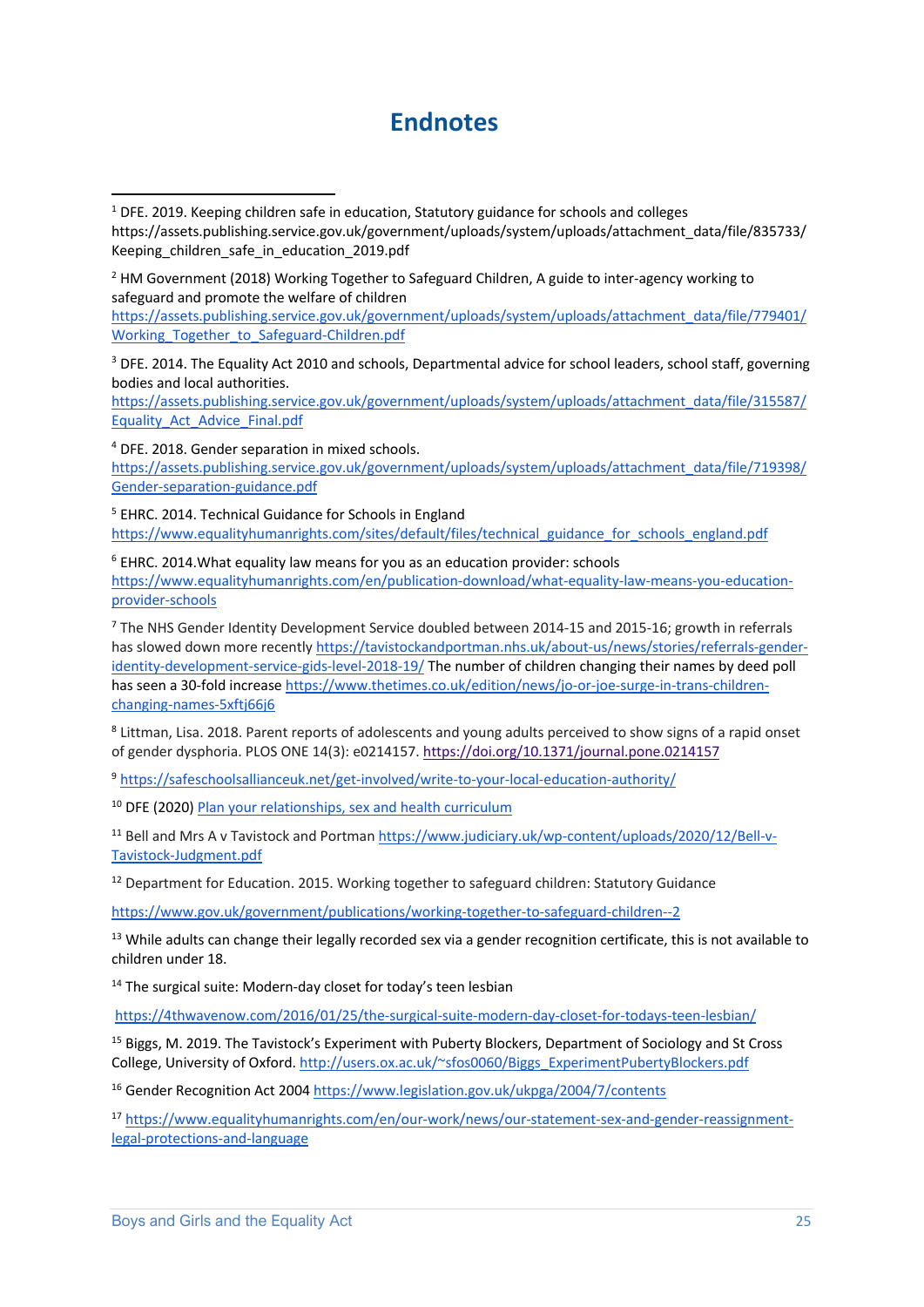## **Endnotes**

https://assets.publishing.service.gov.uk/government/uploads/system/uploads/attachment\_data/file/779401/ Working Together to Safeguard-Children.pdf

<sup>3</sup> DFE. 2014. The Equality Act 2010 and schools, Departmental advice for school leaders, school staff, governing bodies and local authorities.

https://assets.publishing.service.gov.uk/government/uploads/system/uploads/attachment\_data/file/315587/ Equality\_Act\_Advice\_Final.pdf

<sup>4</sup> DFE. 2018. Gender separation in mixed schools. https://assets.publishing.service.gov.uk/government/uploads/system/uploads/attachment\_data/file/719398/ Gender-separation-guidance.pdf

<sup>5</sup> EHRC. 2014. Technical Guidance for Schools in England https://www.equalityhumanrights.com/sites/default/files/technical\_guidance\_for\_schools\_england.pdf

 $6$  EHRC. 2014. What equality law means for you as an education provider: schools https://www.equalityhumanrights.com/en/publication-download/what-equality-law-means-you-educationprovider-schools

<sup>7</sup> The NHS Gender Identity Development Service doubled between 2014-15 and 2015-16; growth in referrals has slowed down more recently https://tavistockandportman.nhs.uk/about-us/news/stories/referrals-genderidentity-development-service-gids-level-2018-19/ The number of children changing their names by deed poll has seen a 30-fold increase https://www.thetimes.co.uk/edition/news/jo-or-joe-surge-in-trans-childrenchanging-names-5xftj66j6

<sup>8</sup> Littman, Lisa. 2018. Parent reports of adolescents and young adults perceived to show signs of a rapid onset of gender dysphoria. PLOS ONE 14(3): e0214157. https://doi.org/10.1371/journal.pone.0214157

<sup>9</sup> https://safeschoolsallianceuk.net/get-involved/write-to-your-local-education-authority/

<sup>10</sup> DFE (2020) Plan your relationships, sex and health curriculum

<sup>11</sup> Bell and Mrs A v Tavistock and Portman https://www.judiciary.uk/wp-content/uploads/2020/12/Bell-v-Tavistock-Judgment.pdf

 $12$  Department for Education. 2015. Working together to safeguard children: Statutory Guidance

https://www.gov.uk/government/publications/working-together-to-safeguard-children--2

<sup>13</sup> While adults can change their legally recorded sex via a gender recognition certificate, this is not available to children under 18.

<sup>14</sup> The surgical suite: Modern-day closet for today's teen lesbian

https://4thwavenow.com/2016/01/25/the-surgical-suite-modern-day-closet-for-todays-teen-lesbian/

<sup>15</sup> Biggs, M. 2019. The Tavistock's Experiment with Puberty Blockers, Department of Sociology and St Cross College, University of Oxford. http://users.ox.ac.uk/~sfos0060/Biggs\_ExperimentPubertyBlockers.pdf

<sup>16</sup> Gender Recognition Act 2004 https://www.legislation.gov.uk/ukpga/2004/7/contents

<sup>17</sup> https://www.equalityhumanrights.com/en/our-work/news/our-statement-sex-and-gender-reassignmentlegal-protections-and-language

 $1$  DFE. 2019. Keeping children safe in education, Statutory guidance for schools and colleges https://assets.publishing.service.gov.uk/government/uploads/system/uploads/attachment\_data/file/835733/ Keeping children safe in education 2019.pdf

 $<sup>2</sup>$  HM Government (2018) Working Together to Safeguard Children, A guide to inter-agency working to</sup> safeguard and promote the welfare of children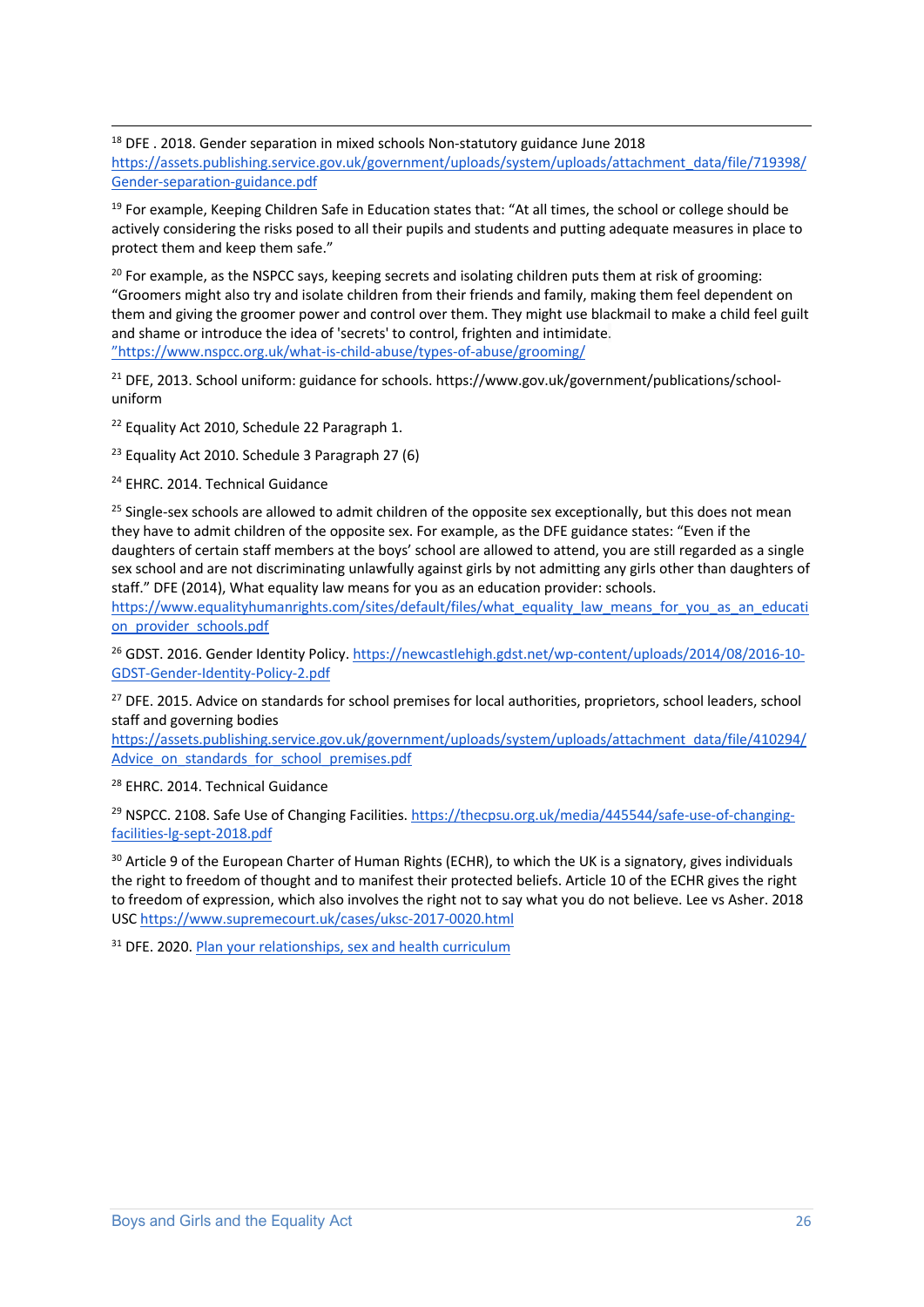$18$  DFE . 2018. Gender separation in mixed schools Non-statutory guidance June 2018 https://assets.publishing.service.gov.uk/government/uploads/system/uploads/attachment\_data/file/719398/ Gender-separation-guidance.pdf

<sup>19</sup> For example, Keeping Children Safe in Education states that: "At all times, the school or college should be actively considering the risks posed to all their pupils and students and putting adequate measures in place to protect them and keep them safe."

<sup>20</sup> For example, as the NSPCC says, keeping secrets and isolating children puts them at risk of grooming: "Groomers might also try and isolate children from their friends and family, making them feel dependent on them and giving the groomer power and control over them. They might use blackmail to make a child feel guilt and shame or introduce the idea of 'secrets' to control, frighten and intimidate. "https://www.nspcc.org.uk/what-is-child-abuse/types-of-abuse/grooming/

<sup>21</sup> DFE, 2013. School uniform: guidance for schools. https://www.gov.uk/government/publications/schooluniform

<sup>22</sup> Equality Act 2010, Schedule 22 Paragraph 1.

<sup>23</sup> Equality Act 2010. Schedule 3 Paragraph 27 (6)

<sup>24</sup> EHRC. 2014. Technical Guidance

<sup>25</sup> Single-sex schools are allowed to admit children of the opposite sex exceptionally, but this does not mean they have to admit children of the opposite sex. For example, as the DFE guidance states: "Even if the daughters of certain staff members at the boys' school are allowed to attend, you are still regarded as a single sex school and are not discriminating unlawfully against girls by not admitting any girls other than daughters of staff." DFE (2014), What equality law means for you as an education provider: schools.

https://www.equalityhumanrights.com/sites/default/files/what\_equality\_law\_means\_for\_you\_as\_an\_educati on provider schools.pdf

<sup>26</sup> GDST. 2016. Gender Identity Policy. https://newcastlehigh.gdst.net/wp-content/uploads/2014/08/2016-10-GDST-Gender-Identity-Policy-2.pdf

<sup>27</sup> DFE. 2015. Advice on standards for school premises for local authorities, proprietors, school leaders, school staff and governing bodies

https://assets.publishing.service.gov.uk/government/uploads/system/uploads/attachment\_data/file/410294/ Advice\_on\_standards\_for\_school\_premises.pdf

<sup>28</sup> EHRC. 2014. Technical Guidance

<sup>29</sup> NSPCC. 2108. Safe Use of Changing Facilities. https://thecpsu.org.uk/media/445544/safe-use-of-changingfacilities-lg-sept-2018.pdf

<sup>30</sup> Article 9 of the European Charter of Human Rights (ECHR), to which the UK is a signatory, gives individuals the right to freedom of thought and to manifest their protected beliefs. Article 10 of the ECHR gives the right to freedom of expression, which also involves the right not to say what you do not believe. Lee vs Asher. 2018 USC https://www.supremecourt.uk/cases/uksc-2017-0020.html

<sup>31</sup> DFE. 2020. Plan your relationships, sex and health curriculum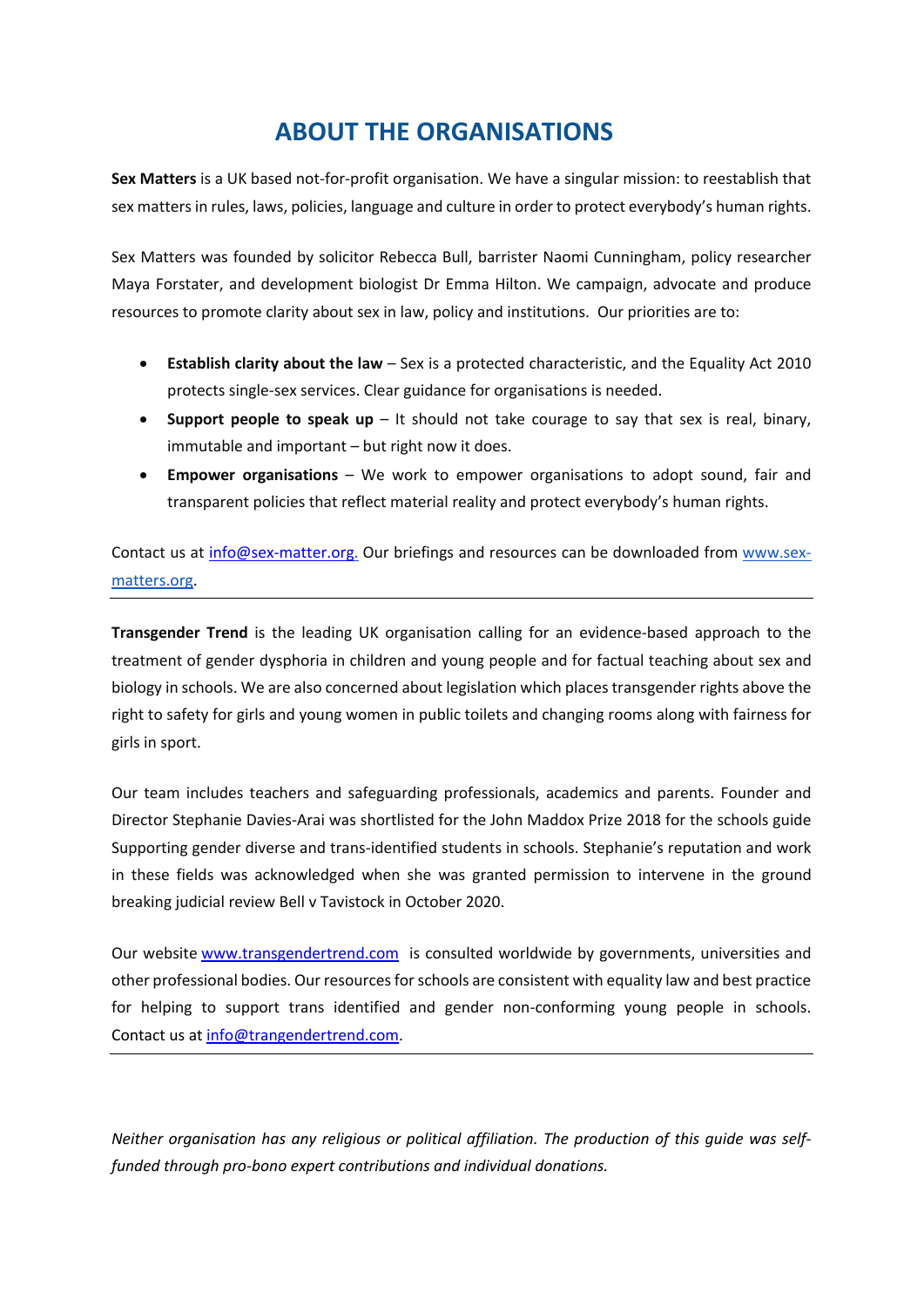### **ABOUT THE ORGANISATIONS**

**Sex Matters** is a UK based not-for-profit organisation. We have a singular mission: to reestablish that sex matters in rules, laws, policies, language and culture in order to protect everybody's human rights.

Sex Matters was founded by solicitor Rebecca Bull, barrister Naomi Cunningham, policy researcher Maya Forstater, and development biologist Dr Emma Hilton. We campaign, advocate and produce resources to promote clarity about sex in law, policy and institutions. Our priorities are to:

- **Establish clarity about the law**  Sex is a protected characteristic, and the Equality Act 2010 protects single-sex services. Clear guidance for organisations is needed.
- **Support people to speak up** It should not take courage to say that sex is real, binary, immutable and important – but right now it does.
- **Empower organisations** We work to empower organisations to adopt sound, fair and transparent policies that reflect material reality and protect everybody's human rights.

Contact us at info@sex-matter.org. Our briefings and resources can be downloaded from www.sexmatters.org.

**Transgender Trend** is the leading UK organisation calling for an evidence-based approach to the treatment of gender dysphoria in children and young people and for factual teaching about sex and biology in schools. We are also concerned about legislation which places transgender rights above the right to safety for girls and young women in public toilets and changing rooms along with fairness for girls in sport.

Our team includes teachers and safeguarding professionals, academics and parents. Founder and Director Stephanie Davies-Arai was shortlisted for the John Maddox Prize 2018 for the schools guide Supporting gender diverse and trans-identified students in schools. Stephanie's reputation and work in these fields was acknowledged when she was granted permission to intervene in the ground breaking judicial review Bell v Tavistock in October 2020.

Our website www.transgendertrend.com is consulted worldwide by governments, universities and other professional bodies. Our resources for schools are consistent with equality law and best practice for helping to support trans identified and gender non-conforming young people in schools. Contact us at info@trangendertrend.com.

*Neither organisation has any religious or political affiliation. The production of this guide was selffunded through pro-bono expert contributions and individual donations.*